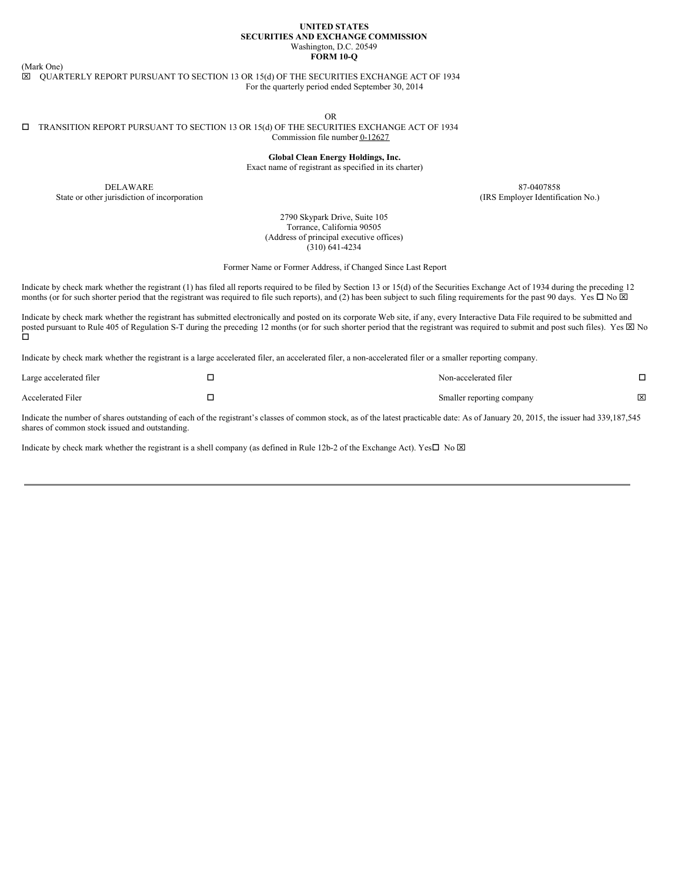### **UNITED STATES SECURITIES AND EXCHANGE COMMISSION** Washington, D.C. 20549 **FORM 10-Q**

(Mark One)

 $\boxtimes$  QUARTERLY REPORT PURSUANT TO SECTION 13 OR 15(d) OF THE SECURITIES EXCHANGE ACT OF 1934 For the quarterly period ended September 30, 2014

OR

### $\square$  TRANSITION REPORT PURSUANT TO SECTION 13 OR 15(d) OF THE SECURITIES EXCHANGE ACT OF 1934 Commission file number 0-12627

**Global Clean Energy Holdings, Inc.**

Exact name of registrant as specified in its charter)

DELAWARE 87-0407858 State or other jurisdiction of incorporation (IRS Employer Identification No.)

2790 Skypark Drive, Suite 105 Torrance, California 90505 (Address of principal executive offices) (310) 641-4234

Former Name or Former Address, if Changed Since Last Report

Indicate by check mark whether the registrant (1) has filed all reports required to be filed by Section 13 or 15(d) of the Securities Exchange Act of 1934 during the preceding 12 months (or for such shorter period that the registrant was required to file such reports), and (2) has been subject to such filing requirements for the past 90 days. Yes  $\Box$  No  $\boxtimes$ 

Indicate by check mark whether the registrant has submitted electronically and posted on its corporate Web site, if any, every Interactive Data File required to be submitted and posted pursuant to Rule 405 of Regulation S-T during the preceding 12 months (or for such shorter period that the registrant was required to submit and post such files). Yes  $\boxtimes$  No o

Indicate by check mark whether the registrant is a large accelerated filer, an accelerated filer, a non-accelerated filer or a smaller reporting company.

| Large accelerated filer  | Non-accelerated filer     |   |
|--------------------------|---------------------------|---|
| <b>Accelerated Filer</b> | Smaller reporting company | × |

Indicate the number of shares outstanding of each of the registrant's classes of common stock, as of the latest practicable date: As of January 20, 2015, the issuer had 339,187,545 shares of common stock issued and outstanding.

Indicate by check mark whether the registrant is a shell company (as defined in Rule 12b-2 of the Exchange Act). Yes $\Box$  No  $\boxtimes$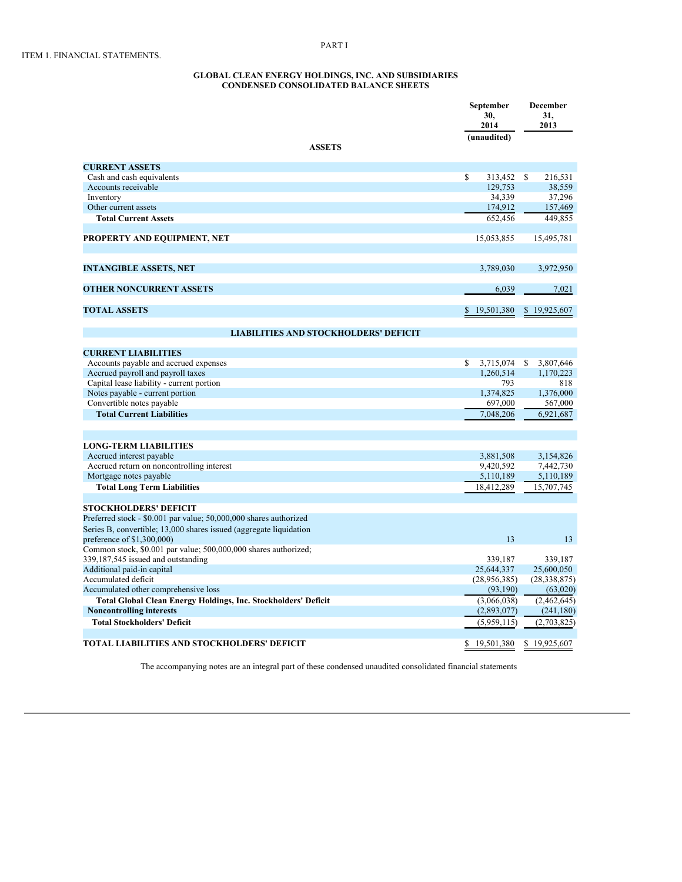#### **GLOBAL CLEAN ENERGY HOLDINGS, INC. AND SUBSIDIARIES CONDENSED CONSOLIDATED BALANCE SHEETS**

|                                                                       | September<br>30,<br>2014<br>(unaudited) | December<br>31.<br>2013 |
|-----------------------------------------------------------------------|-----------------------------------------|-------------------------|
| <b>ASSETS</b>                                                         |                                         |                         |
| <b>CURRENT ASSETS</b>                                                 |                                         |                         |
| Cash and cash equivalents                                             | \$<br>313,452                           | 216,531<br>S            |
| Accounts receivable                                                   | 129,753                                 | 38,559                  |
| Inventory                                                             | 34,339                                  | 37,296                  |
| Other current assets                                                  | 174,912                                 | 157,469                 |
| <b>Total Current Assets</b>                                           | 652,456                                 | 449,855                 |
| PROPERTY AND EQUIPMENT, NET                                           | 15,053,855                              | 15,495,781              |
| <b>INTANGIBLE ASSETS, NET</b>                                         | 3,789,030                               | 3,972,950               |
| <b>OTHER NONCURRENT ASSETS</b>                                        | 6,039                                   | 7,021                   |
| <b>TOTAL ASSETS</b>                                                   | 19,501,380<br>S.                        | \$19,925,607            |
| <b>LIABILITIES AND STOCKHOLDERS' DEFICIT</b>                          |                                         |                         |
| <b>CURRENT LIABILITIES</b>                                            |                                         |                         |
| Accounts payable and accrued expenses                                 | 3,715,074<br>\$                         | 3,807,646<br>S          |
| Accrued payroll and payroll taxes                                     | 1,260,514                               | 1,170,223               |
| Capital lease liability - current portion                             | 793                                     | 818                     |
| Notes payable - current portion                                       | 1,374,825                               | 1,376,000               |
| Convertible notes payable                                             | 697,000                                 | 567,000                 |
| <b>Total Current Liabilities</b>                                      | 7,048,206                               | 6,921,687               |
| <b>LONG-TERM LIABILITIES</b>                                          |                                         |                         |
| Accrued interest payable                                              | 3,881,508                               | 3,154,826               |
| Accrued return on noncontrolling interest                             | 9,420,592                               | 7,442,730               |
| Mortgage notes payable                                                | 5,110,189                               | 5,110,189               |
| <b>Total Long Term Liabilities</b>                                    | 18,412,289                              | 15,707,745              |
| <b>STOCKHOLDERS' DEFICIT</b>                                          |                                         |                         |
| Preferred stock - \$0.001 par value; 50,000,000 shares authorized     |                                         |                         |
| Series B, convertible; 13,000 shares issued (aggregate liquidation    |                                         |                         |
| preference of \$1,300,000)                                            | 13                                      | 13                      |
| Common stock, \$0.001 par value; 500,000,000 shares authorized;       |                                         |                         |
| 339,187,545 issued and outstanding                                    | 339,187                                 | 339,187                 |
| Additional paid-in capital                                            | 25,644,337                              | 25,600,050              |
| Accumulated deficit                                                   | (28,956,385)                            | (28, 338, 875)          |
| Accumulated other comprehensive loss                                  | (93,190)                                | (63,020)                |
| <b>Total Global Clean Energy Holdings, Inc. Stockholders' Deficit</b> | (3,066,038)                             | (2,462,645)             |
| <b>Noncontrolling interests</b>                                       | (2,893,077)                             | (241, 180)              |
| <b>Total Stockholders' Deficit</b>                                    | (5,959,115)                             | (2,703,825)             |
| TOTAL LIABILITIES AND STOCKHOLDERS' DEFICIT                           | \$19,501,380                            | \$19,925,607            |

The accompanying notes are an integral part of these condensed unaudited consolidated financial statements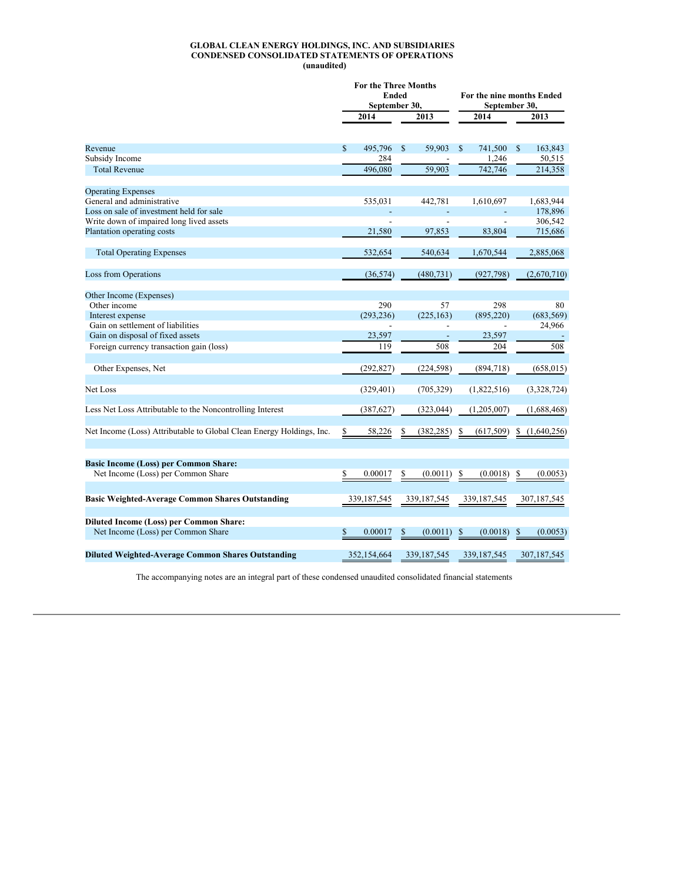#### **GLOBAL CLEAN ENERGY HOLDINGS, INC. AND SUBSIDIARIES CONDENSED CONSOLIDATED STATEMENTS OF OPERATIONS (unaudited)**

|                                                                                      | <b>For the Three Months</b><br><b>Ended</b><br>September 30, |               |    | For the nine months Ended<br>September 30, |    |                |    |             |
|--------------------------------------------------------------------------------------|--------------------------------------------------------------|---------------|----|--------------------------------------------|----|----------------|----|-------------|
|                                                                                      |                                                              | 2014          |    | 2013                                       |    | 2014           |    | 2013        |
| Revenue                                                                              | S                                                            | 495,796       | \$ | 59,903                                     | \$ | 741,500        | S  | 163,843     |
| Subsidy Income                                                                       |                                                              | 284           |    |                                            |    | 1,246          |    | 50,515      |
| <b>Total Revenue</b>                                                                 |                                                              | 496,080       |    | 59,903                                     |    | 742,746        |    | 214,358     |
| <b>Operating Expenses</b>                                                            |                                                              |               |    |                                            |    |                |    |             |
| General and administrative                                                           |                                                              | 535,031       |    | 442,781                                    |    | 1,610,697      |    | 1,683,944   |
| Loss on sale of investment held for sale                                             |                                                              |               |    |                                            |    |                |    | 178,896     |
| Write down of impaired long lived assets                                             |                                                              |               |    |                                            |    |                |    | 306,542     |
| Plantation operating costs                                                           |                                                              | 21,580        |    | 97,853                                     |    | 83,804         |    | 715,686     |
| <b>Total Operating Expenses</b>                                                      |                                                              | 532,654       |    | 540,634                                    |    | 1,670,544      |    | 2,885,068   |
| Loss from Operations                                                                 |                                                              | (36, 574)     |    | (480, 731)                                 |    | (927, 798)     |    | (2,670,710) |
| Other Income (Expenses)                                                              |                                                              |               |    |                                            |    |                |    |             |
| Other income                                                                         |                                                              | 290           |    | 57                                         |    | 298            |    | 80          |
| Interest expense                                                                     |                                                              | (293, 236)    |    | (225, 163)                                 |    | (895, 220)     |    | (683, 569)  |
| Gain on settlement of liabilities                                                    |                                                              |               |    | $\overline{a}$                             |    | $\overline{a}$ |    | 24,966      |
| Gain on disposal of fixed assets                                                     |                                                              | 23,597        |    |                                            |    | 23,597         |    |             |
| Foreign currency transaction gain (loss)                                             |                                                              | 119           |    | 508                                        |    | 204            |    | 508         |
| Other Expenses, Net                                                                  |                                                              | (292, 827)    |    | (224, 598)                                 |    | (894,718)      |    | (658, 015)  |
| Net Loss                                                                             |                                                              | (329, 401)    |    | (705, 329)                                 |    | (1,822,516)    |    | (3,328,724) |
| Less Net Loss Attributable to the Noncontrolling Interest                            |                                                              | (387, 627)    |    | (323, 044)                                 |    | (1,205,007)    |    | (1,688,468) |
| Net Income (Loss) Attributable to Global Clean Energy Holdings, Inc.                 | \$                                                           | 58,226        | S  | (382, 285)                                 | \$ | (617, 509)     | \$ | (1,640,256) |
| <b>Basic Income (Loss) per Common Share:</b>                                         |                                                              |               |    |                                            |    |                |    |             |
| Net Income (Loss) per Common Share                                                   | \$                                                           | 0.00017       | \$ | (0.0011)                                   | \$ | (0.0018)       | \$ | (0.0053)    |
| <b>Basic Weighted-Average Common Shares Outstanding</b>                              |                                                              | 339, 187, 545 |    | 339, 187, 545                              |    | 339, 187, 545  |    | 307,187,545 |
|                                                                                      |                                                              |               |    |                                            |    |                |    |             |
| <b>Diluted Income (Loss) per Common Share:</b><br>Net Income (Loss) per Common Share | \$                                                           | 0.00017       | \$ | (0.0011)                                   | \$ | (0.0018)       | \$ | (0.0053)    |
| <b>Diluted Weighted-Average Common Shares Outstanding</b>                            |                                                              | 352,154,664   |    | 339,187,545                                |    | 339,187,545    |    | 307,187,545 |

The accompanying notes are an integral part of these condensed unaudited consolidated financial statements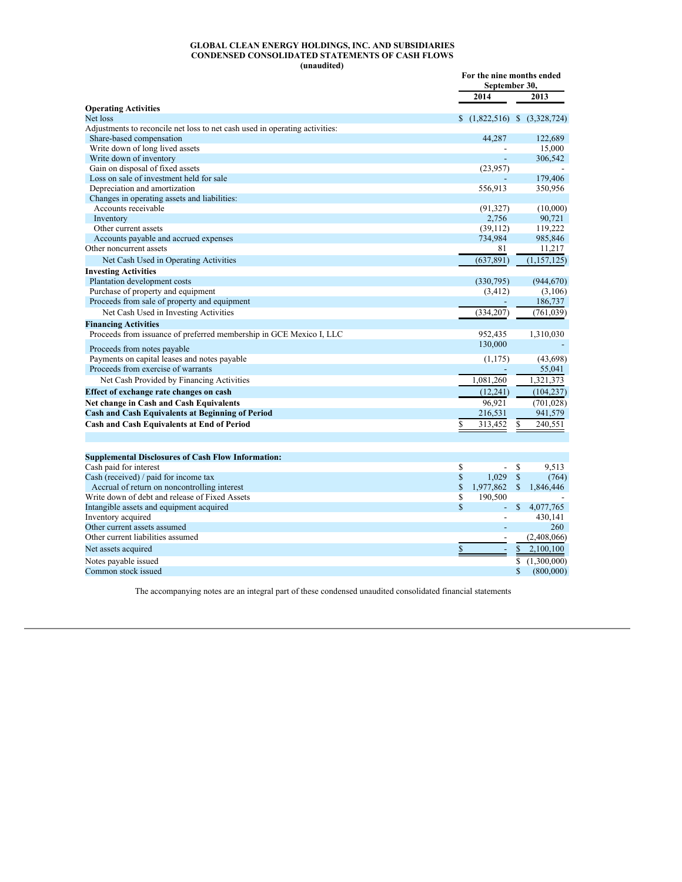#### **GLOBAL CLEAN ENERGY HOLDINGS, INC. AND SUBSIDIARIES CONDENSED CONSOLIDATED STATEMENTS OF CASH FLOWS (unaudited)**

|                                                                             | For the nine months ended<br>September 30, |               |                                |
|-----------------------------------------------------------------------------|--------------------------------------------|---------------|--------------------------------|
|                                                                             | 2014                                       |               | 2013                           |
| <b>Operating Activities</b>                                                 |                                            |               |                                |
| Net loss                                                                    |                                            |               | $(1,822,516)$ \$ $(3,328,724)$ |
| Adjustments to reconcile net loss to net cash used in operating activities: |                                            |               |                                |
| Share-based compensation                                                    | 44,287                                     |               | 122,689                        |
| Write down of long lived assets                                             |                                            |               | 15,000                         |
| Write down of inventory                                                     |                                            |               | 306,542                        |
| Gain on disposal of fixed assets                                            | (23, 957)                                  |               |                                |
| Loss on sale of investment held for sale                                    |                                            |               | 179,406                        |
| Depreciation and amortization                                               | 556,913                                    |               | 350,956                        |
| Changes in operating assets and liabilities:<br>Accounts receivable         |                                            |               |                                |
| Inventory                                                                   | (91, 327)<br>2,756                         |               | (10,000)<br>90,721             |
| Other current assets                                                        | (39, 112)                                  |               |                                |
| Accounts payable and accrued expenses                                       | 734,984                                    |               | 119,222<br>985,846             |
| Other noncurrent assets                                                     | 81                                         |               | 11,217                         |
|                                                                             | (637, 891)                                 |               | (1, 157, 125)                  |
| Net Cash Used in Operating Activities                                       |                                            |               |                                |
| <b>Investing Activities</b>                                                 |                                            |               |                                |
| Plantation development costs                                                | (330,795)                                  |               | (944, 670)                     |
| Purchase of property and equipment                                          | (3, 412)                                   |               | (3,106)                        |
| Proceeds from sale of property and equipment                                |                                            |               | 186,737                        |
| Net Cash Used in Investing Activities                                       | (334, 207)                                 |               | (761, 039)                     |
| <b>Financing Activities</b>                                                 |                                            |               |                                |
| Proceeds from issuance of preferred membership in GCE Mexico I, LLC         | 952,435                                    |               | 1,310,030                      |
| Proceeds from notes payable                                                 | 130,000                                    |               |                                |
| Payments on capital leases and notes payable                                | (1, 175)                                   |               | (43, 698)                      |
| Proceeds from exercise of warrants                                          |                                            |               | 55,041                         |
| Net Cash Provided by Financing Activities                                   | 1,081,260                                  |               | 1,321,373                      |
| Effect of exchange rate changes on cash                                     | (12, 241)                                  |               | (104, 237)                     |
| Net change in Cash and Cash Equivalents                                     | 96,921                                     |               | (701, 028)                     |
| <b>Cash and Cash Equivalents at Beginning of Period</b>                     | 216,531                                    |               | 941,579                        |
| Cash and Cash Equivalents at End of Period                                  | \$<br>313,452                              | \$            | 240,551                        |
|                                                                             |                                            |               |                                |
| <b>Supplemental Disclosures of Cash Flow Information:</b>                   |                                            |               |                                |
| Cash paid for interest                                                      | \$<br>$\overline{a}$                       | \$            | 9,513                          |
| Cash (received) / paid for income tax                                       | \$<br>1,029                                | $\mathbb{S}$  | (764)                          |
| Accrual of return on noncontrolling interest                                | \$<br>1,977,862                            | <sup>\$</sup> | 1,846,446                      |
| Write down of debt and release of Fixed Assets                              | \$<br>190,500                              |               |                                |
| Intangible assets and equipment acquired                                    | \$                                         | \$            | 4,077,765                      |
| Inventory acquired                                                          | $\overline{a}$                             |               | 430,141                        |
| Other current assets assumed                                                |                                            |               | 260                            |
| Other current liabilities assumed                                           |                                            |               | (2,408,066)                    |
| Net assets acquired                                                         | \$                                         | $\mathbb{S}$  | 2,100,100                      |
| Notes payable issued                                                        |                                            | \$            | (1,300,000)                    |
| Common stock issued                                                         |                                            | \$            | (800,000)                      |

The accompanying notes are an integral part of these condensed unaudited consolidated financial statements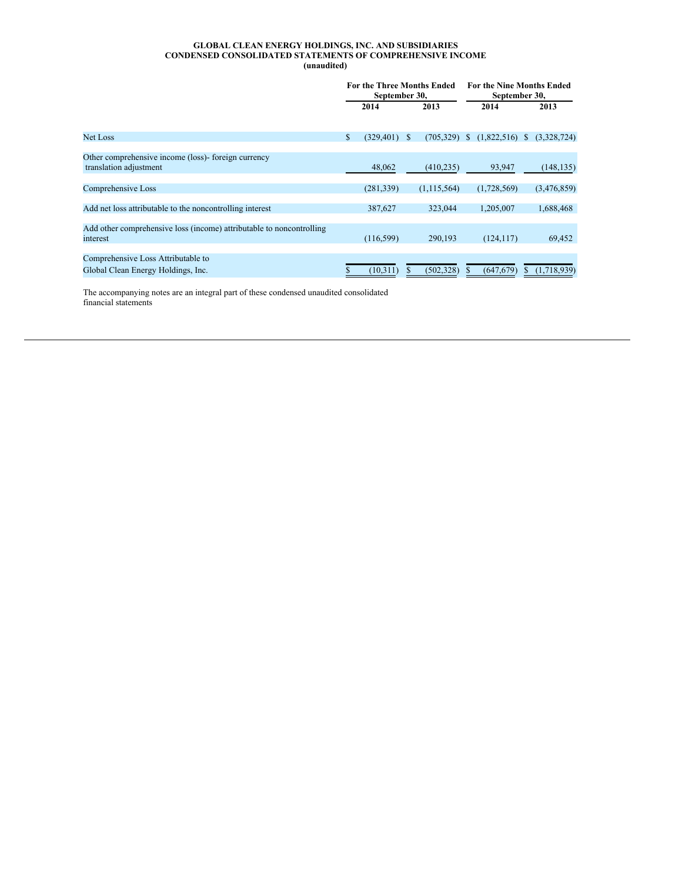### **GLOBAL CLEAN ENERGY HOLDINGS, INC. AND SUBSIDIARIES CONDENSED CONSOLIDATED STATEMENTS OF COMPREHENSIVE INCOME (unaudited)**

|                                                                                  | <b>For the Three Months Ended</b><br>September 30, |            |              | <b>For the Nine Months Ended</b><br>September 30, |                   |   |             |
|----------------------------------------------------------------------------------|----------------------------------------------------|------------|--------------|---------------------------------------------------|-------------------|---|-------------|
|                                                                                  |                                                    | 2014       |              | 2013                                              | 2014              |   | 2013        |
| Net Loss                                                                         | \$                                                 | (329, 401) | <sup>S</sup> | (705, 329)                                        | (1,822,516)<br>S. | S | (3,328,724) |
|                                                                                  |                                                    |            |              |                                                   |                   |   |             |
| Other comprehensive income (loss)- foreign currency<br>translation adjustment    |                                                    | 48,062     |              | (410, 235)                                        | 93,947            |   | (148, 135)  |
| Comprehensive Loss                                                               |                                                    | (281, 339) |              | (1, 115, 564)                                     | (1,728,569)       |   | (3,476,859) |
| Add net loss attributable to the noncontrolling interest                         |                                                    | 387,627    |              | 323,044                                           | 1.205.007         |   | 1,688,468   |
| Add other comprehensive loss (income) attributable to noncontrolling<br>interest |                                                    | (116, 599) |              | 290.193                                           | (124, 117)        |   | 69,452      |
| Comprehensive Loss Attributable to<br>Global Clean Energy Holdings, Inc.         |                                                    | (10,311)   |              | (502, 328)                                        | (647, 679)        | S | (1,718,939) |

The accompanying notes are an integral part of these condensed unaudited consolidated financial statements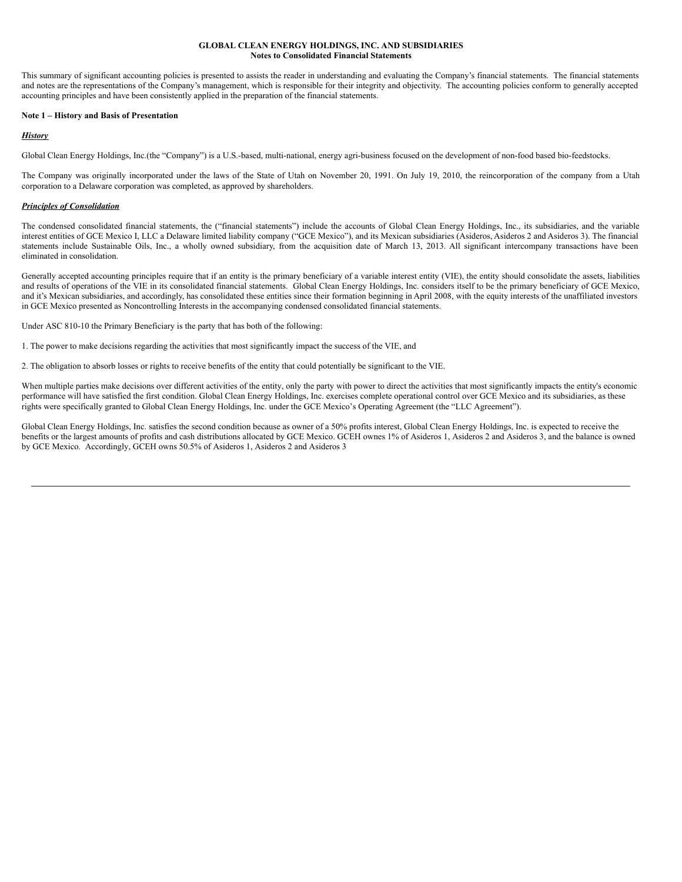### **GLOBAL CLEAN ENERGY HOLDINGS, INC. AND SUBSIDIARIES Notes to Consolidated Financial Statements**

This summary of significant accounting policies is presented to assists the reader in understanding and evaluating the Company's financial statements. The financial statements and notes are the representations of the Company's management, which is responsible for their integrity and objectivity. The accounting policies conform to generally accepted accounting principles and have been consistently applied in the preparation of the financial statements.

## **Note 1 – History and Basis of Presentation**

# *History*

Global Clean Energy Holdings, Inc.(the "Company") is a U.S.-based, multi-national, energy agri-business focused on the development of non-food based bio-feedstocks.

The Company was originally incorporated under the laws of the State of Utah on November 20, 1991. On July 19, 2010, the reincorporation of the company from a Utah corporation to a Delaware corporation was completed, as approved by shareholders.

# *Principles of Consolidation*

The condensed consolidated financial statements, the ("financial statements") include the accounts of Global Clean Energy Holdings, Inc., its subsidiaries, and the variable interest entities of GCE Mexico I, LLC a Delaware limited liability company ("GCE Mexico"), and its Mexican subsidiaries (Asideros, Asideros 2 and Asideros 3). The financial statements include Sustainable Oils, Inc., a wholly owned subsidiary, from the acquisition date of March 13, 2013. All significant intercompany transactions have been eliminated in consolidation.

Generally accepted accounting principles require that if an entity is the primary beneficiary of a variable interest entity (VIE), the entity should consolidate the assets, liabilities and results of operations of the VIE in its consolidated financial statements. Global Clean Energy Holdings, Inc. considers itself to be the primary beneficiary of GCE Mexico, and it's Mexican subsidiaries, and accordingly, has consolidated these entities since their formation beginning in April 2008, with the equity interests of the unaffiliated investors in GCE Mexico presented as Noncontrolling Interests in the accompanying condensed consolidated financial statements.

Under ASC 810-10 the Primary Beneficiary is the party that has both of the following:

1. The power to make decisions regarding the activities that most significantly impact the success of the VIE, and

2. The obligation to absorb losses or rights to receive benefits of the entity that could potentially be significant to the VIE.

When multiple parties make decisions over different activities of the entity, only the party with power to direct the activities that most significantly impacts the entity's economic performance will have satisfied the first condition. Global Clean Energy Holdings, Inc. exercises complete operational control over GCE Mexico and its subsidiaries, as these rights were specifically granted to Global Clean Energy Holdings, Inc. under the GCE Mexico's Operating Agreement (the "LLC Agreement").

Global Clean Energy Holdings, Inc. satisfies the second condition because as owner of a 50% profits interest, Global Clean Energy Holdings, Inc. is expected to receive the benefits or the largest amounts of profits and cash distributions allocated by GCE Mexico. GCEH ownes 1% of Asideros 1, Asideros 2 and Asideros 3, and the balance is owned by GCE Mexico. Accordingly, GCEH owns 50.5% of Asideros 1, Asideros 2 and Asideros 3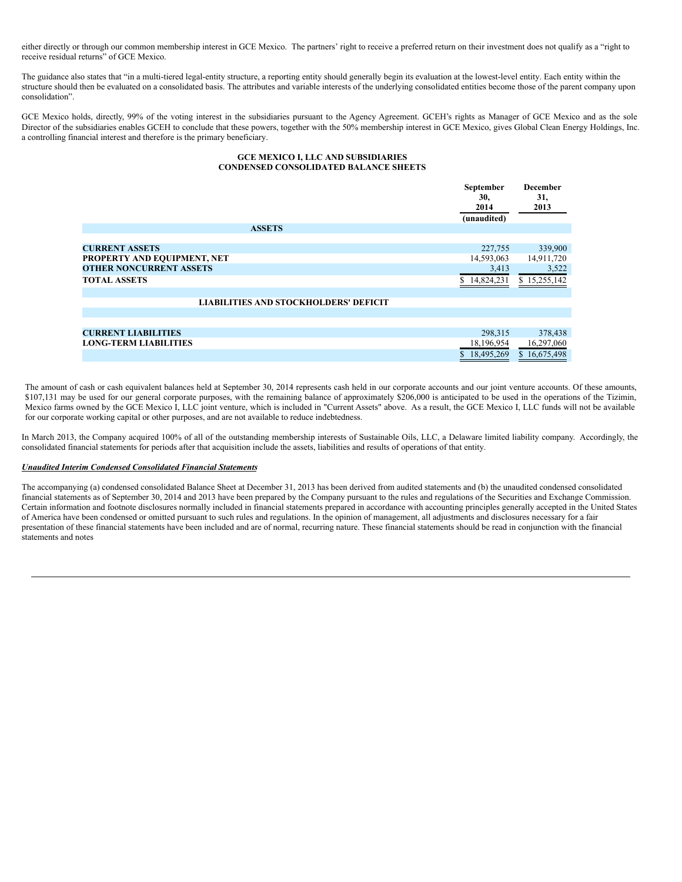either directly or through our common membership interest in GCE Mexico. The partners' right to receive a preferred return on their investment does not qualify as a "right to receive residual returns" of GCE Mexico.

The guidance also states that "in a multi-tiered legal-entity structure, a reporting entity should generally begin its evaluation at the lowest-level entity. Each entity within the structure should then be evaluated on a consolidated basis. The attributes and variable interests of the underlying consolidated entities become those of the parent company upon consolidation".

GCE Mexico holds, directly, 99% of the voting interest in the subsidiaries pursuant to the Agency Agreement. GCEH's rights as Manager of GCE Mexico and as the sole Director of the subsidiaries enables GCEH to conclude that these powers, together with the 50% membership interest in GCE Mexico, gives Global Clean Energy Holdings, Inc. a controlling financial interest and therefore is the primary beneficiary.

# **GCE MEXICO I, LLC AND SUBSIDIARIES CONDENSED CONSOLIDATED BALANCE SHEETS**

|                                              | September<br>30,<br>2014<br>(unaudited) | December<br>31,<br>2013 |
|----------------------------------------------|-----------------------------------------|-------------------------|
| <b>ASSETS</b>                                |                                         |                         |
|                                              |                                         |                         |
| <b>CURRENT ASSETS</b>                        | 227,755                                 | 339,900                 |
| PROPERTY AND EQUIPMENT, NET                  | 14,593,063                              | 14,911,720              |
| <b>OTHER NONCURRENT ASSETS</b>               | 3,413                                   | 3,522                   |
| <b>TOTAL ASSETS</b>                          | \$14,824,231                            | \$15,255,142            |
|                                              |                                         |                         |
| <b>LIABILITIES AND STOCKHOLDERS' DEFICIT</b> |                                         |                         |
|                                              |                                         |                         |
|                                              |                                         |                         |
| <b>CURRENT LIABILITIES</b>                   | 298,315                                 | 378,438                 |
| <b>LONG-TERM LIABILITIES</b>                 | 18,196,954                              | 16,297,060              |
|                                              | \$18,495,269                            | \$16,675,498            |

The amount of cash or cash equivalent balances held at September 30, 2014 represents cash held in our corporate accounts and our joint venture accounts. Of these amounts, \$107,131 may be used for our general corporate purposes, with the remaining balance of approximately \$206,000 is anticipated to be used in the operations of the Tizimin, Mexico farms owned by the GCE Mexico I, LLC joint venture, which is included in "Current Assets" above. As a result, the GCE Mexico I, LLC funds will not be available for our corporate working capital or other purposes, and are not available to reduce indebtedness.

In March 2013, the Company acquired 100% of all of the outstanding membership interests of Sustainable Oils, LLC, a Delaware limited liability company. Accordingly, the consolidated financial statements for periods after that acquisition include the assets, liabilities and results of operations of that entity.

## *Unaudited Interim Condensed Consolidated Financial Statements*

The accompanying (a) condensed consolidated Balance Sheet at December 31, 2013 has been derived from audited statements and (b) the unaudited condensed consolidated financial statements as of September 30, 2014 and 2013 have been prepared by the Company pursuant to the rules and regulations of the Securities and Exchange Commission. Certain information and footnote disclosures normally included in financial statements prepared in accordance with accounting principles generally accepted in the United States of America have been condensed or omitted pursuant to such rules and regulations. In the opinion of management, all adjustments and disclosures necessary for a fair presentation of these financial statements have been included and are of normal, recurring nature. These financial statements should be read in conjunction with the financial statements and notes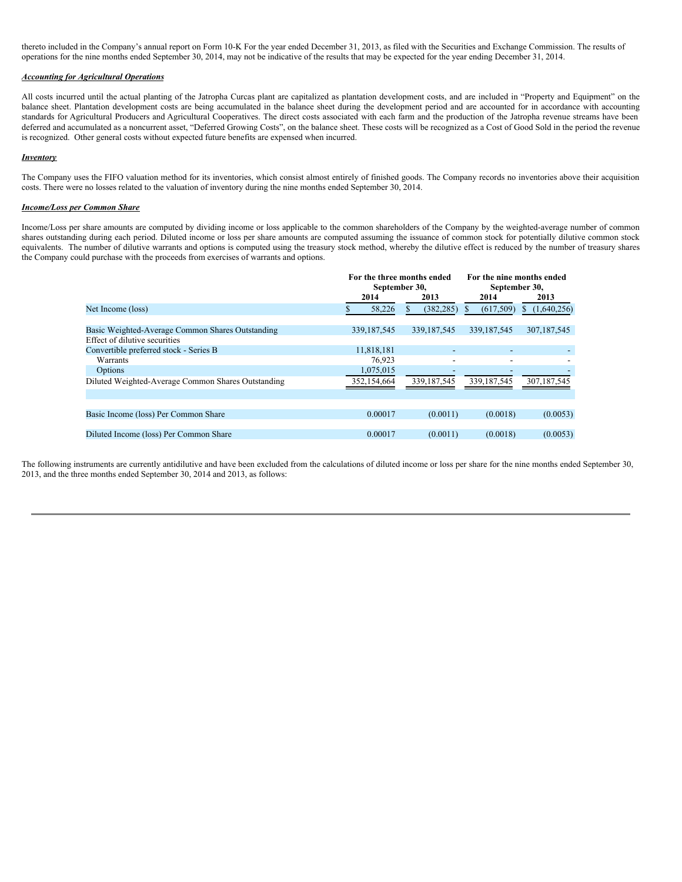thereto included in the Company's annual report on Form 10-K For the year ended December 31, 2013, as filed with the Securities and Exchange Commission. The results of operations for the nine months ended September 30, 2014, may not be indicative of the results that may be expected for the year ending December 31, 2014.

# *Accounting for Agricultural Operations*

All costs incurred until the actual planting of the Jatropha Curcas plant are capitalized as plantation development costs, and are included in "Property and Equipment" on the balance sheet. Plantation development costs are being accumulated in the balance sheet during the development period and are accounted for in accordance with accounting standards for Agricultural Producers and Agricultural Cooperatives. The direct costs associated with each farm and the production of the Jatropha revenue streams have been deferred and accumulated as a noncurrent asset, "Deferred Growing Costs", on the balance sheet. These costs will be recognized as a Cost of Good Sold in the period the revenue is recognized. Other general costs without expected future benefits are expensed when incurred.

#### *Inventory*

The Company uses the FIFO valuation method for its inventories, which consist almost entirely of finished goods. The Company records no inventories above their acquisition costs. There were no losses related to the valuation of inventory during the nine months ended September 30, 2014.

# *Income/Loss per Common Share*

Income/Loss per share amounts are computed by dividing income or loss applicable to the common shareholders of the Company by the weighted-average number of common shares outstanding during each period. Diluted income or loss per share amounts are computed assuming the issuance of common stock for potentially dilutive common stock equivalents. The number of dilutive warrants and options is computed using the treasury stock method, whereby the dilutive effect is reduced by the number of treasury shares the Company could purchase with the proceeds from exercises of warrants and options.

|                                                    | For the three months ended<br>September 30, |               | For the nine months ended<br>September 30, |                   |  |
|----------------------------------------------------|---------------------------------------------|---------------|--------------------------------------------|-------------------|--|
|                                                    | 2014                                        | 2013          | 2014                                       | 2013              |  |
| Net Income (loss)                                  | 58,226                                      | (382, 285)    | (617, 509)                                 | (1,640,256)<br>S. |  |
|                                                    |                                             |               |                                            |                   |  |
| Basic Weighted-Average Common Shares Outstanding   | 339, 187, 545                               | 339, 187, 545 | 339, 187, 545                              | 307, 187, 545     |  |
| Effect of dilutive securities                      |                                             |               |                                            |                   |  |
| Convertible preferred stock - Series B             | 11,818,181                                  |               |                                            |                   |  |
| Warrants                                           | 76,923                                      | -             |                                            |                   |  |
| Options                                            | 1,075,015                                   |               |                                            |                   |  |
| Diluted Weighted-Average Common Shares Outstanding | 352,154,664                                 | 339, 187, 545 | 339, 187, 545                              | 307,187,545       |  |
|                                                    |                                             |               |                                            |                   |  |
|                                                    |                                             |               |                                            |                   |  |
| Basic Income (loss) Per Common Share               | 0.00017                                     | (0.0011)      | (0.0018)                                   | (0.0053)          |  |
|                                                    |                                             |               |                                            |                   |  |
| Diluted Income (loss) Per Common Share             | 0.00017                                     | (0.0011)      | (0.0018)                                   | (0.0053)          |  |
|                                                    |                                             |               |                                            |                   |  |

The following instruments are currently antidilutive and have been excluded from the calculations of diluted income or loss per share for the nine months ended September 30, 2013, and the three months ended September 30, 2014 and 2013, as follows: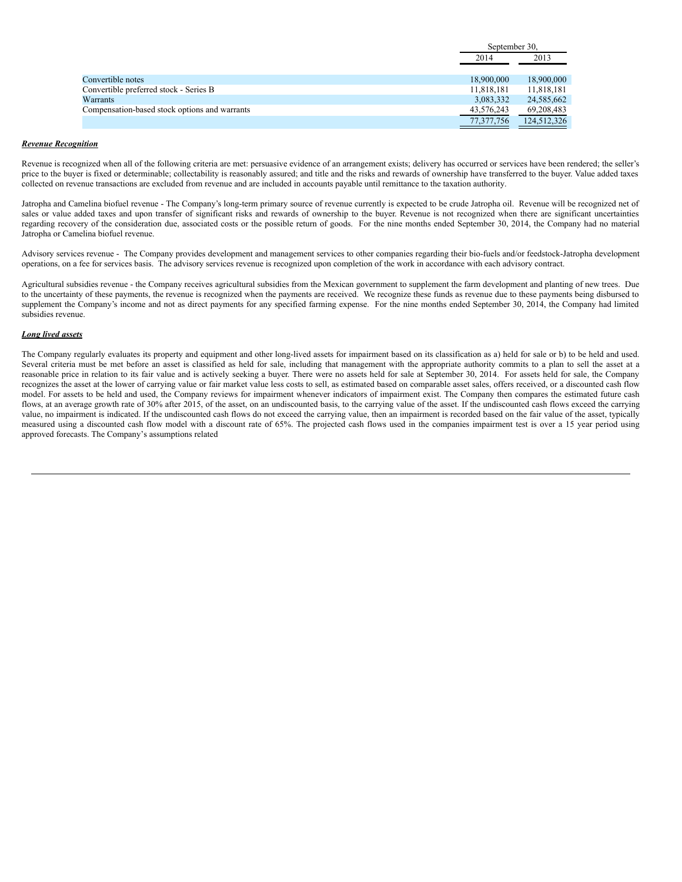|                                               | September 30, |             |
|-----------------------------------------------|---------------|-------------|
|                                               | 2014          | 2013        |
|                                               |               |             |
| Convertible notes                             | 18,900,000    | 18,900,000  |
| Convertible preferred stock - Series B        | 11,818,181    | 11,818,181  |
| Warrants                                      | 3,083,332     | 24,585,662  |
| Compensation-based stock options and warrants | 43,576,243    | 69,208,483  |
|                                               | 77,377,756    | 124,512,326 |

# *Revenue Recognition*

Revenue is recognized when all of the following criteria are met: persuasive evidence of an arrangement exists; delivery has occurred or services have been rendered; the seller's price to the buyer is fixed or determinable; collectability is reasonably assured; and title and the risks and rewards of ownership have transferred to the buyer. Value added taxes collected on revenue transactions are excluded from revenue and are included in accounts payable until remittance to the taxation authority.

Jatropha and Camelina biofuel revenue - The Company's long-term primary source of revenue currently is expected to be crude Jatropha oil. Revenue will be recognized net of sales or value added taxes and upon transfer of significant risks and rewards of ownership to the buyer. Revenue is not recognized when there are significant uncertainties regarding recovery of the consideration due, associated costs or the possible return of goods. For the nine months ended September 30, 2014, the Company had no material Jatropha or Camelina biofuel revenue.

Advisory services revenue - The Company provides development and management services to other companies regarding their bio-fuels and/or feedstock-Jatropha development operations, on a fee for services basis. The advisory services revenue is recognized upon completion of the work in accordance with each advisory contract.

Agricultural subsidies revenue - the Company receives agricultural subsidies from the Mexican government to supplement the farm development and planting of new trees. Due to the uncertainty of these payments, the revenue is recognized when the payments are received. We recognize these funds as revenue due to these payments being disbursed to supplement the Company's income and not as direct payments for any specified farming expense. For the nine months ended September 30, 2014, the Company had limited subsidies revenue.

# *Long lived assets*

The Company regularly evaluates its property and equipment and other long-lived assets for impairment based on its classification as a) held for sale or b) to be held and used. Several criteria must be met before an asset is classified as held for sale, including that management with the appropriate authority commits to a plan to sell the asset at a reasonable price in relation to its fair value and is actively seeking a buyer. There were no assets held for sale at September 30, 2014. For assets held for sale, the Company recognizes the asset at the lower of carrying value or fair market value less costs to sell, as estimated based on comparable asset sales, offers received, or a discounted cash flow model. For assets to be held and used, the Company reviews for impairment whenever indicators of impairment exist. The Company then compares the estimated future cash flows, at an average growth rate of 30% after 2015, of the asset, on an undiscounted basis, to the carrying value of the asset. If the undiscounted cash flows exceed the carrying value, no impairment is indicated. If the undiscounted cash flows do not exceed the carrying value, then an impairment is recorded based on the fair value of the asset, typically measured using a discounted cash flow model with a discount rate of 65%. The projected cash flows used in the companies impairment test is over a 15 year period using approved forecasts. The Company's assumptions related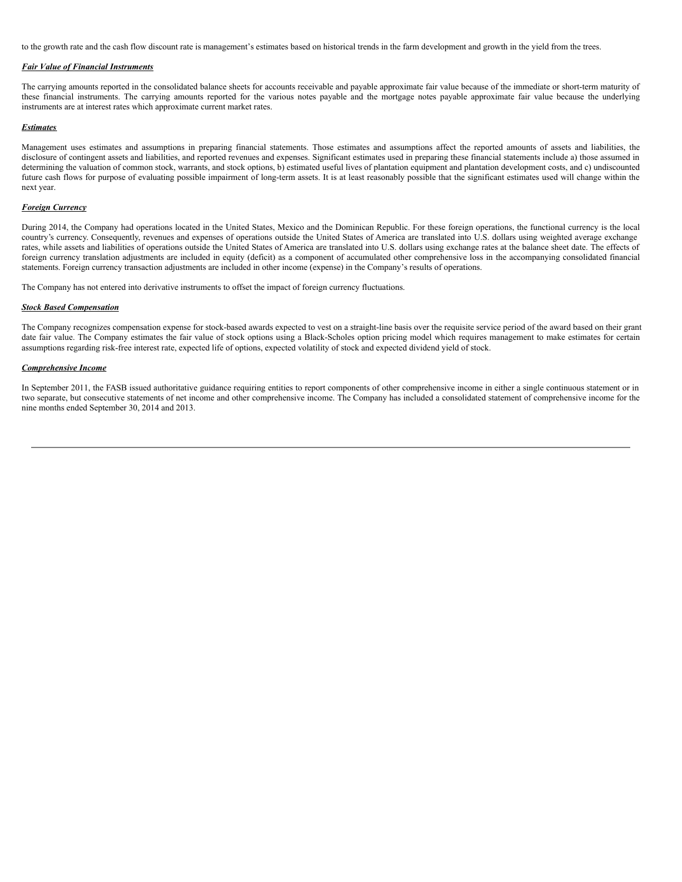to the growth rate and the cash flow discount rate is management's estimates based on historical trends in the farm development and growth in the yield from the trees.

## *Fair Value of Financial Instruments*

The carrying amounts reported in the consolidated balance sheets for accounts receivable and payable approximate fair value because of the immediate or short-term maturity of these financial instruments. The carrying amounts reported for the various notes payable and the mortgage notes payable approximate fair value because the underlying instruments are at interest rates which approximate current market rates.

#### *Estimates*

Management uses estimates and assumptions in preparing financial statements. Those estimates and assumptions affect the reported amounts of assets and liabilities, the disclosure of contingent assets and liabilities, and reported revenues and expenses. Significant estimates used in preparing these financial statements include a) those assumed in determining the valuation of common stock, warrants, and stock options, b) estimated useful lives of plantation equipment and plantation development costs, and c) undiscounted future cash flows for purpose of evaluating possible impairment of long-term assets. It is at least reasonably possible that the significant estimates used will change within the next year.

### *Foreign Currency*

During 2014, the Company had operations located in the United States, Mexico and the Dominican Republic. For these foreign operations, the functional currency is the local country's currency. Consequently, revenues and expenses of operations outside the United States of America are translated into U.S. dollars using weighted average exchange rates, while assets and liabilities of operations outside the United States of America are translated into U.S. dollars using exchange rates at the balance sheet date. The effects of foreign currency translation adjustments are included in equity (deficit) as a component of accumulated other comprehensive loss in the accompanying consolidated financial statements. Foreign currency transaction adjustments are included in other income (expense) in the Company's results of operations.

The Company has not entered into derivative instruments to offset the impact of foreign currency fluctuations.

#### *Stock Based Compensation*

The Company recognizes compensation expense for stock-based awards expected to vest on a straight-line basis over the requisite service period of the award based on their grant date fair value. The Company estimates the fair value of stock options using a Black-Scholes option pricing model which requires management to make estimates for certain assumptions regarding risk-free interest rate, expected life of options, expected volatility of stock and expected dividend yield of stock.

### *Comprehensive Income*

In September 2011, the FASB issued authoritative guidance requiring entities to report components of other comprehensive income in either a single continuous statement or in two separate, but consecutive statements of net income and other comprehensive income. The Company has included a consolidated statement of comprehensive income for the nine months ended September 30, 2014 and 2013.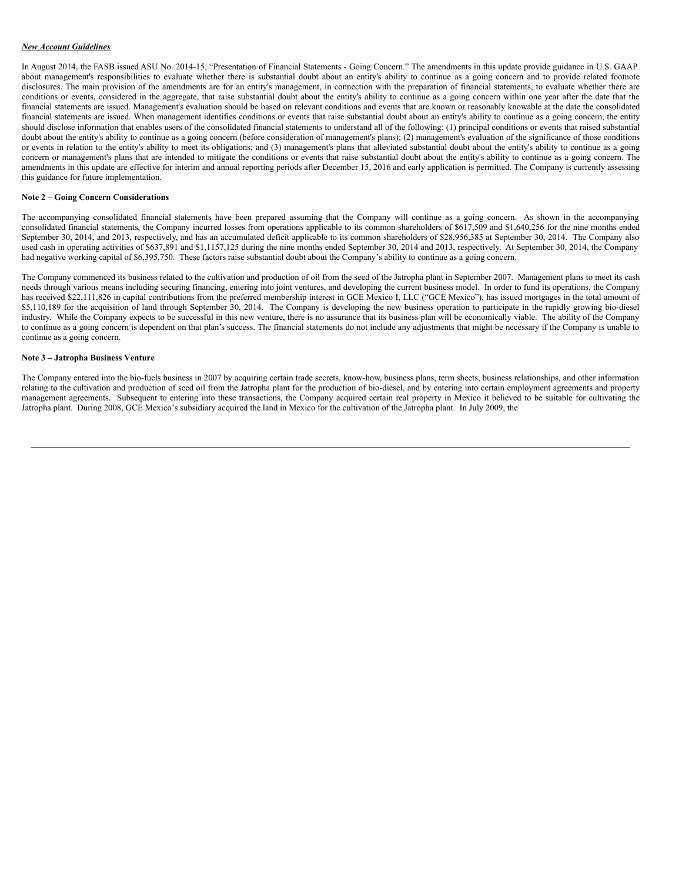## *New Account Guidelines*

In August 2014, the FASB issued ASU No. 2014-15, "Presentation of Financial Statements - Going Concern." The amendments in this update provide guidance in U.S. GAAP about management's responsibilities to evaluate whether there is substantial doubt about an entity's ability to continue as a going concern and to provide related footnote disclosures. The main provision of the amendments are for an entity's management, in connection with the preparation of financial statements, to evaluate whether there are conditions or events, considered in the aggregate, that raise substantial doubt about the entity's ability to continue as a going concern within one year after the date that the financial statements are issued. Management's evaluation should be based on relevant conditions and events that are known or reasonably knowable at the date the consolidated financial statements are issued. When management identifies conditions or events that raise substantial doubt about an entity's ability to continue as a going concern, the entity should disclose information that enables users of the consolidated financial statements to understand all of the following: (1) principal conditions or events that raised substantial doubt about the entity's ability to continue as a going concern (before consideration of management's plans); (2) management's evaluation of the significance of those conditions or events in relation to the entity's ability to meet its obligations; and (3) management's plans that alleviated substantial doubt about the entity's ability to continue as a going concern or management's plans that are intended to mitigate the conditions or events that raise substantial doubt about the entity's ability to continue as a going concern. The amendments in this update are effective for interim and annual reporting periods after December 15, 2016 and early application is permitted. The Company is currently assessing this guidance for future implementation.

### **Note 2 – Going Concern Considerations**

The accompanying consolidated financial statements have been prepared assuming that the Company will continue as a going concern. As shown in the accompanying consolidated financial statements, the Company incurred losses from operations applicable to its common shareholders of \$617,509 and \$1,640,256 for the nine months ended September 30, 2014, and 2013, respectively, and has an accumulated deficit applicable to its common shareholders of \$28,956,385 at September 30, 2014. The Company also used cash in operating activities of \$637,891 and \$1,1157,125 during the nine months ended September 30, 2014 and 2013, respectively. At September 30, 2014, the Company had negative working capital of \$6,395,750. These factors raise substantial doubt about the Company's ability to continue as a going concern.

The Company commenced its business related to the cultivation and production of oil from the seed of the Jatropha plant in September 2007. Management plans to meet its cash needs through various means including securing financing, entering into joint ventures, and developing the current business model. In order to fund its operations, the Company has received \$22,111,826 in capital contributions from the preferred membership interest in GCE Mexico I, LLC ("GCE Mexico"), has issued mortgages in the total amount of \$5,110,189 for the acquisition of land through September 30, 2014. The Company is developing the new business operation to participate in the rapidly growing bio-diesel industry. While the Company expects to be successful in this new venture, there is no assurance that its business plan will be economically viable. The ability of the Company to continue as a going concern is dependent on that plan's success. The financial statements do not include any adjustments that might be necessary if the Company is unable to continue as a going concern.

#### **Note 3 – Jatropha Business Venture**

The Company entered into the bio-fuels business in 2007 by acquiring certain trade secrets, know-how, business plans, term sheets, business relationships, and other information relating to the cultivation and production of seed oil from the Jatropha plant for the production of bio-diesel, and by entering into certain employment agreements and property management agreements. Subsequent to entering into these transactions, the Company acquired certain real property in Mexico it believed to be suitable for cultivating the Jatropha plant. During 2008, GCE Mexico's subsidiary acquired the land in Mexico for the cultivation of the Jatropha plant. In July 2009, the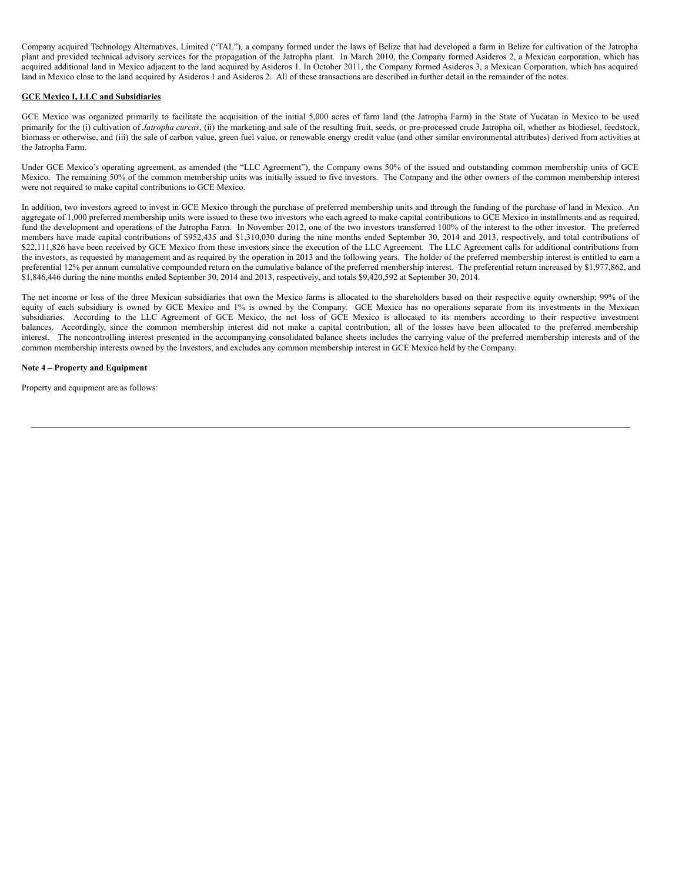Company acquired Technology Alternatives, Limited ("TAL"), a company formed under the laws of Belize that had developed a farm in Belize for cultivation of the Jatropha plant and provided technical advisory services for the propagation of the Jatropha plant. In March 2010, the Company formed Asideros 2, a Mexican corporation, which has acquired additional land in Mexico adjacent to the land acquired by Asideros 1. In October 2011, the Company formed Asideros 3, a Mexican Corporation, which has acquired land in Mexico close to the land acquired by Asideros 1 and Asideros 2. All of these transactions are described in further detail in the remainder of the notes.

# **GCE Mexico I, LLC and Subsidiaries**

GCE Mexico was organized primarily to facilitate the acquisition of the initial 5,000 acres of farm land (the Jatropha Farm) in the State of Yucatan in Mexico to be used primarily for the (i) cultivation of *Jatropha curcas*, (ii) the marketing and sale of the resulting fruit, seeds, or pre-processed crude Jatropha oil, whether as biodiesel, feedstock, biomass or otherwise, and (iii) the sale of carbon value, green fuel value, or renewable energy credit value (and other similar environmental attributes) derived from activities at the Jatropha Farm.

Under GCE Mexico's operating agreement, as amended (the "LLC Agreement"), the Company owns 50% of the issued and outstanding common membership units of GCE Mexico. The remaining 50% of the common membership units was initially issued to five investors. The Company and the other owners of the common membership interest were not required to make capital contributions to GCE Mexico.

In addition, two investors agreed to invest in GCE Mexico through the purchase of preferred membership units and through the funding of the purchase of land in Mexico. An aggregate of 1,000 preferred membership units were issued to these two investors who each agreed to make capital contributions to GCE Mexico in installments and as required, fund the development and operations of the Jatropha Farm. In November 2012, one of the two investors transferred 100% of the interest to the other investor. The preferred members have made capital contributions of \$952,435 and \$1,310,030 during the nine months ended September 30, 2014 and 2013, respectively, and total contributions of \$22,111,826 have been received by GCE Mexico from these investors since the execution of the LLC Agreement. The LLC Agreement calls for additional contributions from the investors, as requested by management and as required by the operation in 2013 and the following years. The holder of the preferred membership interest is entitled to earn a preferential 12% per annum cumulative compounded return on the cumulative balance of the preferred membership interest. The preferential return increased by \$1,977,862, and \$1,846,446 during the nine months ended September 30, 2014 and 2013, respectively, and totals \$9,420,592 at September 30, 2014.

The net income or loss of the three Mexican subsidiaries that own the Mexico farms is allocated to the shareholders based on their respective equity ownership; 99% of the equity of each subsidiary is owned by GCE Mexico and 1% is owned by the Company. GCE Mexico has no operations separate from its investments in the Mexican subsidiaries. According to the LLC Agreement of GCE Mexico, the net loss of GCE Mexico is allocated to its members according to their respective investment balances. Accordingly, since the common membership interest did not make a capital contribution, all of the losses have been allocated to the preferred membership interest. The noncontrolling interest presented in the accompanying consolidated balance sheets includes the carrying value of the preferred membership interests and of the common membership interests owned by the Investors, and excludes any common membership interest in GCE Mexico held by the Company.

# **Note 4 – Property and Equipment**

Property and equipment are as follows: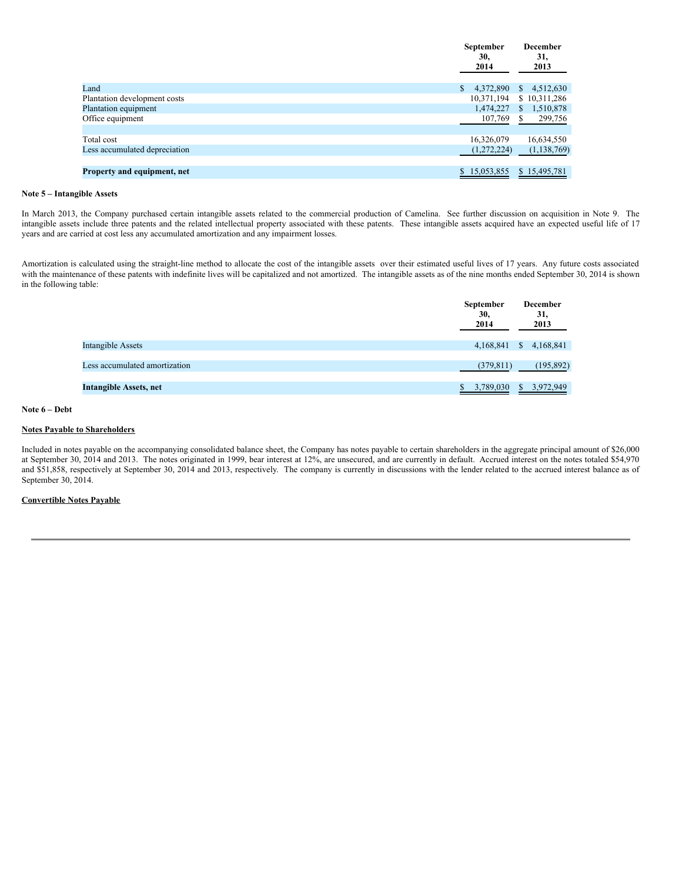| <b>September</b><br>30,<br>2014 | <b>December</b><br>31,<br>2013 |
|---------------------------------|--------------------------------|
| 4,372,890                       | \$<br>4,512,630                |
| 10,371,194                      | \$10,311,286                   |
| 1,474,227                       | 1,510,878<br>\$                |
| 107,769                         | 299,756<br>S.                  |
|                                 |                                |
| 16,326,079                      | 16,634,550                     |
| (1,272,224)                     | (1, 138, 769)                  |
|                                 |                                |
| \$15,053,855                    | \$15,495,781                   |
|                                 |                                |

# **Note 5 – Intangible Assets**

In March 2013, the Company purchased certain intangible assets related to the commercial production of Camelina. See further discussion on acquisition in Note 9. The intangible assets include three patents and the related intellectual property associated with these patents. These intangible assets acquired have an expected useful life of 17 years and are carried at cost less any accumulated amortization and any impairment losses.

Amortization is calculated using the straight-line method to allocate the cost of the intangible assets over their estimated useful lives of 17 years. Any future costs associated with the maintenance of these patents with indefinite lives will be capitalized and not amortized. The intangible assets as of the nine months ended September 30, 2014 is shown in the following table:

|                               | <b>September</b><br>30,<br>2014 | <b>December</b><br>31,<br>2013 |
|-------------------------------|---------------------------------|--------------------------------|
| Intangible Assets             | 4,168,841                       | <sup>S</sup><br>4,168,841      |
|                               |                                 |                                |
| Less accumulated amortization | (379, 811)                      | (195, 892)                     |
|                               |                                 |                                |
| Intangible Assets, net        | 3,789,030                       | \$3,972,949                    |

# **Note 6 – Debt**

# **Notes Payable to Shareholders**

Included in notes payable on the accompanying consolidated balance sheet, the Company has notes payable to certain shareholders in the aggregate principal amount of \$26,000 at September 30, 2014 and 2013. The notes originated in 1999, bear interest at 12%, are unsecured, and are currently in default. Accrued interest on the notes totaled \$54,970 and \$51,858, respectively at September 30, 2014 and 2013, respectively. The company is currently in discussions with the lender related to the accrued interest balance as of September 30, 2014.

# **Convertible Notes Payable**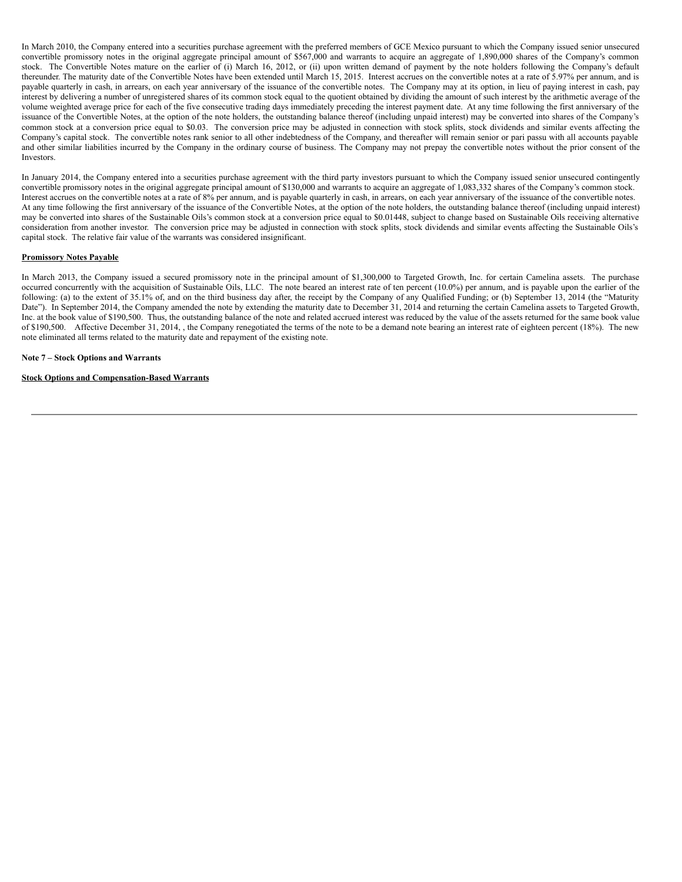In March 2010, the Company entered into a securities purchase agreement with the preferred members of GCE Mexico pursuant to which the Company issued senior unsecured convertible promissory notes in the original aggregate principal amount of \$567,000 and warrants to acquire an aggregate of 1,890,000 shares of the Company's common stock. The Convertible Notes mature on the earlier of (i) March 16, 2012, or (ii) upon written demand of payment by the note holders following the Company's default thereunder. The maturity date of the Convertible Notes have been extended until March 15, 2015. Interest accrues on the convertible notes at a rate of 5.97% per annum, and is payable quarterly in cash, in arrears, on each year anniversary of the issuance of the convertible notes. The Company may at its option, in lieu of paying interest in cash, pay interest by delivering a number of unregistered shares of its common stock equal to the quotient obtained by dividing the amount of such interest by the arithmetic average of the volume weighted average price for each of the five consecutive trading days immediately preceding the interest payment date. At any time following the first anniversary of the issuance of the Convertible Notes, at the option of the note holders, the outstanding balance thereof (including unpaid interest) may be converted into shares of the Company's common stock at a conversion price equal to \$0.03. The conversion price may be adjusted in connection with stock splits, stock dividends and similar events affecting the Company's capital stock. The convertible notes rank senior to all other indebtedness of the Company, and thereafter will remain senior or pari passu with all accounts payable and other similar liabilities incurred by the Company in the ordinary course of business. The Company may not prepay the convertible notes without the prior consent of the Investors.

In January 2014, the Company entered into a securities purchase agreement with the third party investors pursuant to which the Company issued senior unsecured contingently convertible promissory notes in the original aggregate principal amount of \$130,000 and warrants to acquire an aggregate of 1,083,332 shares of the Company's common stock. Interest accrues on the convertible notes at a rate of 8% per annum, and is payable quarterly in cash, in arrears, on each year anniversary of the issuance of the convertible notes. At any time following the first anniversary of the issuance of the Convertible Notes, at the option of the note holders, the outstanding balance thereof (including unpaid interest) may be converted into shares of the Sustainable Oils's common stock at a conversion price equal to \$0.01448, subject to change based on Sustainable Oils receiving alternative consideration from another investor. The conversion price may be adjusted in connection with stock splits, stock dividends and similar events affecting the Sustainable Oils's capital stock. The relative fair value of the warrants was considered insignificant.

## **Promissory Notes Payable**

In March 2013, the Company issued a secured promissory note in the principal amount of \$1,300,000 to Targeted Growth, Inc. for certain Camelina assets. The purchase occurred concurrently with the acquisition of Sustainable Oils, LLC. The note beared an interest rate of ten percent (10.0%) per annum, and is payable upon the earlier of the following: (a) to the extent of 35.1% of, and on the third business day after, the receipt by the Company of any Qualified Funding; or (b) September 13, 2014 (the "Maturity Date"). In September 2014, the Company amended the note by extending the maturity date to December 31, 2014 and returning the certain Camelina assets to Targeted Growth, Inc. at the book value of \$190,500. Thus, the outstanding balance of the note and related accrued interest was reduced by the value of the assets returned for the same book value of \$190,500. Affective December 31, 2014, , the Company renegotiated the terms of the note to be a demand note bearing an interest rate of eighteen percent (18%). The new note eliminated all terms related to the maturity date and repayment of the existing note.

#### **Note 7 – Stock Options and Warrants**

#### **Stock Options and Compensation-Based Warrants**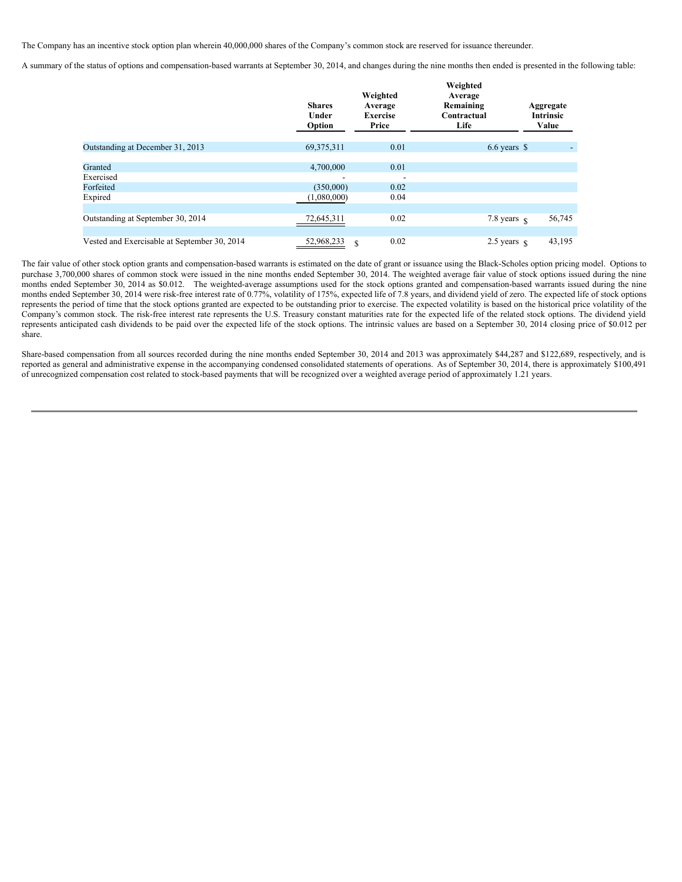The Company has an incentive stock option plan wherein 40,000,000 shares of the Company's common stock are reserved for issuance thereunder.

A summary of the status of options and compensation-based warrants at September 30, 2014, and changes during the nine months then ended is presented in the following table:

|                                              | <b>Shares</b><br>Under<br>Option | Weighted<br>Average<br><b>Exercise</b><br>Price | Weighted<br>Average<br>Remaining<br>Contractual<br>Life | Aggregate<br><b>Intrinsic</b><br>Value |
|----------------------------------------------|----------------------------------|-------------------------------------------------|---------------------------------------------------------|----------------------------------------|
| Outstanding at December 31, 2013             | 69, 375, 311                     | 0.01                                            | $6.6 \text{ years}$ \$                                  |                                        |
|                                              |                                  |                                                 |                                                         |                                        |
| Granted                                      | 4,700,000                        | 0.01                                            |                                                         |                                        |
| Exercised                                    | ۰                                |                                                 |                                                         |                                        |
| Forfeited                                    | (350,000)                        | 0.02                                            |                                                         |                                        |
| Expired                                      | (1,080,000)                      | 0.04                                            |                                                         |                                        |
|                                              |                                  |                                                 |                                                         |                                        |
| Outstanding at September 30, 2014            | 72,645,311                       | 0.02                                            | 7.8 years $\frac{1}{8}$                                 | 56,745                                 |
|                                              |                                  |                                                 |                                                         |                                        |
| Vested and Exercisable at September 30, 2014 | 52,968,233                       | 0.02<br>\$                                      | $2.5 \text{ years }$ $\text{S}$                         | 43,195                                 |

The fair value of other stock option grants and compensation-based warrants is estimated on the date of grant or issuance using the Black-Scholes option pricing model. Options to purchase 3,700,000 shares of common stock were issued in the nine months ended September 30, 2014. The weighted average fair value of stock options issued during the nine months ended September 30, 2014 as \$0.012. The weighted-average assumptions used for the stock options granted and compensation-based warrants issued during the nine months ended September 30, 2014 were risk-free interest rate of 0.77%, volatility of 175%, expected life of 7.8 years, and dividend yield of zero. The expected life of stock options represents the period of time that the stock options granted are expected to be outstanding prior to exercise. The expected volatility is based on the historical price volatility of the Company's common stock. The risk-free interest rate represents the U.S. Treasury constant maturities rate for the expected life of the related stock options. The dividend yield represents anticipated cash dividends to be paid over the expected life of the stock options. The intrinsic values are based on a September 30, 2014 closing price of \$0.012 per share.

Share-based compensation from all sources recorded during the nine months ended September 30, 2014 and 2013 was approximately \$44,287 and \$122,689, respectively, and is reported as general and administrative expense in the accompanying condensed consolidated statements of operations. As of September 30, 2014, there is approximately \$100,491 of unrecognized compensation cost related to stock-based payments that will be recognized over a weighted average period of approximately 1.21 years.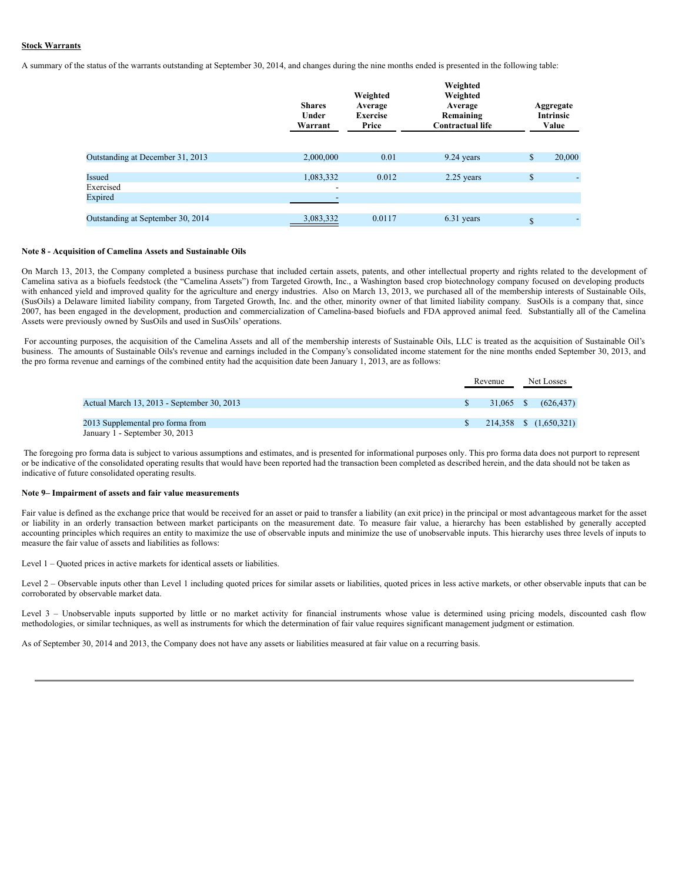# **Stock Warrants**

A summary of the status of the warrants outstanding at September 30, 2014, and changes during the nine months ended is presented in the following table:

|                                   | <b>Shares</b><br>Under<br>Warrant     | Weighted<br>Average<br><b>Exercise</b><br>Price | Weighted<br>Weighted<br>Average<br>Remaining<br><b>Contractual life</b> | Aggregate<br><b>Intrinsic</b><br>Value |
|-----------------------------------|---------------------------------------|-------------------------------------------------|-------------------------------------------------------------------------|----------------------------------------|
| Outstanding at December 31, 2013  | 2,000,000                             | 0.01                                            | 9.24 years                                                              | \$<br>20,000                           |
| Issued<br>Exercised               | 1,083,332<br>$\overline{\phantom{0}}$ | 0.012                                           | 2.25 years                                                              | \$                                     |
| Expired                           |                                       |                                                 |                                                                         |                                        |
| Outstanding at September 30, 2014 | 3,083,332                             | 0.0117                                          | 6.31 years                                                              | \$                                     |

# **Note 8 - Acquisition of Camelina Assets and Sustainable Oils**

On March 13, 2013, the Company completed a business purchase that included certain assets, patents, and other intellectual property and rights related to the development of Camelina sativa as a biofuels feedstock (the "Camelina Assets") from Targeted Growth, Inc., a Washington based crop biotechnology company focused on developing products with enhanced yield and improved quality for the agriculture and energy industries. Also on March 13, 2013, we purchased all of the membership interests of Sustainable Oils, (SusOils) a Delaware limited liability company, from Targeted Growth, Inc. and the other, minority owner of that limited liability company. SusOils is a company that, since 2007, has been engaged in the development, production and commercialization of Camelina-based biofuels and FDA approved animal feed. Substantially all of the Camelina Assets were previously owned by SusOils and used in SusOils' operations.

For accounting purposes, the acquisition of the Camelina Assets and all of the membership interests of Sustainable Oils, LLC is treated as the acquisition of Sustainable Oil's business. The amounts of Sustainable Oils's revenue and earnings included in the Company's consolidated income statement for the nine months ended September 30, 2013, and the pro forma revenue and earnings of the combined entity had the acquisition date been January 1, 2013, are as follows:

|                                                                    | Revenue   |  | Net Losses             |  |
|--------------------------------------------------------------------|-----------|--|------------------------|--|
| Actual March 13, 2013 - September 30, 2013                         | 31,065 \$ |  | (626.437)              |  |
| 2013 Supplemental pro forma from<br>January 1 - September 30, 2013 |           |  | 214,358 \$ (1,650,321) |  |

The foregoing pro forma data is subject to various assumptions and estimates, and is presented for informational purposes only. This pro forma data does not purport to represent or be indicative of the consolidated operating results that would have been reported had the transaction been completed as described herein, and the data should not be taken as indicative of future consolidated operating results.

#### **Note 9– Impairment of assets and fair value measurements**

Fair value is defined as the exchange price that would be received for an asset or paid to transfer a liability (an exit price) in the principal or most advantageous market for the asset or liability in an orderly transaction between market participants on the measurement date. To measure fair value, a hierarchy has been established by generally accepted accounting principles which requires an entity to maximize the use of observable inputs and minimize the use of unobservable inputs. This hierarchy uses three levels of inputs to measure the fair value of assets and liabilities as follows:

Level 1 – Quoted prices in active markets for identical assets or liabilities.

Level 2 - Observable inputs other than Level 1 including quoted prices for similar assets or liabilities, quoted prices in less active markets, or other observable inputs that can be corroborated by observable market data.

Level 3 – Unobservable inputs supported by little or no market activity for financial instruments whose value is determined using pricing models, discounted cash flow methodologies, or similar techniques, as well as instruments for which the determination of fair value requires significant management judgment or estimation.

As of September 30, 2014 and 2013, the Company does not have any assets or liabilities measured at fair value on a recurring basis.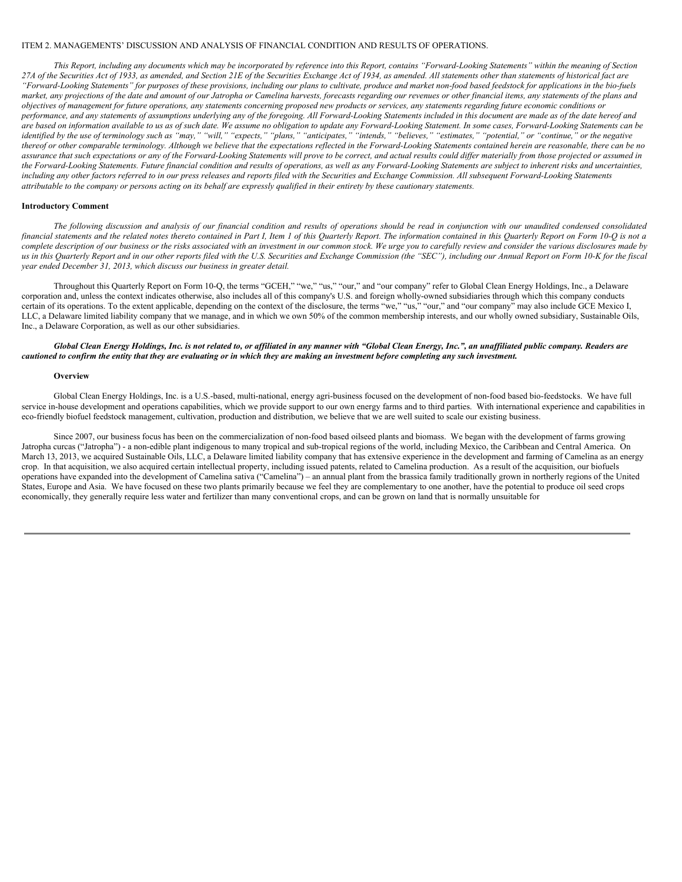### ITEM 2. MANAGEMENTS' DISCUSSION AND ANALYSIS OF FINANCIAL CONDITION AND RESULTS OF OPERATIONS.

This Report, including any documents which may be incorporated by reference into this Report, contains "Forward-Looking Statements" within the meaning of Section 27A of the Securities Act of 1933, as amended, and Section 21E of the Securities Exchange Act of 1934, as amended. All statements other than statements of historical fact are "Forward-Looking Statements" for purposes of these provisions, including our plans to cultivate, produce and market non-food based feedstock for applications in the bio-fuels market, any projections of the date and amount of our Jatropha or Camelina harvests, forecasts regarding our revenues or other financial items, any statements of the plans and objectives of management for future operations, any statements concerning proposed new products or services, any statements regarding future economic conditions or performance, and any statements of assumptions underlying any of the foregoing. All Forward-Looking Statements included in this document are made as of the date hereof and are based on information available to us as of such date. We assume no obligation to update any Forward-Looking Statement. In some cases, Forward-Looking Statements can be identified by the use of terminology such as "may," "will," "expects," "plans," "anticipates," "intends," "believes," "estimates," "potential," or "continue," or the negative thereof or other comparable terminology. Although we believe that the expectations reflected in the Forward-Looking Statements contained herein are reasonable, there can be no assurance that such expectations or any of the Forward-Looking Statements will prove to be correct, and actual results could differ materially from those projected or assumed in the Forward-Looking Statements. Future financial condition and results of operations, as well as any Forward-Looking Statements are subject to inherent risks and uncertainties, including any other factors referred to in our press releases and reports filed with the Securities and Exchange Commission. All subsequent Forward-Looking Statements attributable to the company or persons acting on its behalf are expressly qualified in their entirety by these cautionary statements.

#### **Introductory Comment**

The following discussion and analysis of our financial condition and results of operations should be read in conjunction with our unaudited condensed consolidated financial statements and the related notes thereto contained in Part I. Item 1 of this Quarterly Report. The information contained in this Quarterly Report on Form 10-O is not a complete description of our business or the risks associated with an investment in our common stock. We urge you to carefully review and consider the various disclosures made by us in this Quarterly Report and in our other reports filed with the U.S. Securities and Exchange Commission (the "SEC"), including our Annual Report on Form 10-K for the fiscal *year ended December 31, 2013, which discuss our business in greater detail.*

Throughout this Quarterly Report on Form 10-Q, the terms "GCEH," "we," "us," "our," and "our company" refer to Global Clean Energy Holdings, Inc., a Delaware corporation and, unless the context indicates otherwise, also includes all of this company's U.S. and foreign wholly-owned subsidiaries through which this company conducts certain of its operations. To the extent applicable, depending on the context of the disclosure, the terms "we," "us," "our," and "our company" may also include GCE Mexico I, LLC, a Delaware limited liability company that we manage, and in which we own 50% of the common membership interests, and our wholly owned subsidiary, Sustainable Oils, Inc., a Delaware Corporation, as well as our other subsidiaries.

### Global Clean Energy Holdings, Inc. is not related to, or affiliated in any manner with "Global Clean Energy, Inc.", an unaffiliated public company. Readers are cautioned to confirm the entity that they are evaluating or in which they are making an investment before completing any such investment.

#### **Overview**

Global Clean Energy Holdings, Inc. is a U.S.-based, multi-national, energy agri-business focused on the development of non-food based bio-feedstocks. We have full service in-house development and operations capabilities, which we provide support to our own energy farms and to third parties. With international experience and capabilities in eco-friendly biofuel feedstock management, cultivation, production and distribution, we believe that we are well suited to scale our existing business.

Since 2007, our business focus has been on the commercialization of non-food based oilseed plants and biomass. We began with the development of farms growing Jatropha curcas ("Jatropha") - a non-edible plant indigenous to many tropical and sub-tropical regions of the world, including Mexico, the Caribbean and Central America. On March 13, 2013, we acquired Sustainable Oils, LLC, a Delaware limited liability company that has extensive experience in the development and farming of Camelina as an energy crop. In that acquisition, we also acquired certain intellectual property, including issued patents, related to Camelina production. As a result of the acquisition, our biofuels operations have expanded into the development of Camelina sativa ("Camelina") – an annual plant from the brassica family traditionally grown in northerly regions of the United States, Europe and Asia. We have focused on these two plants primarily because we feel they are complementary to one another, have the potential to produce oil seed crops economically, they generally require less water and fertilizer than many conventional crops, and can be grown on land that is normally unsuitable for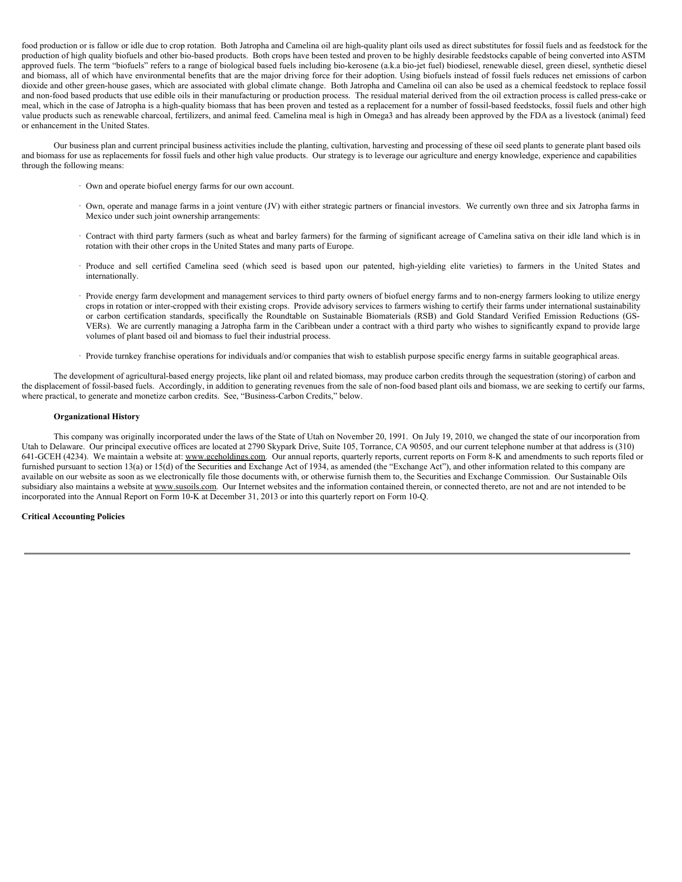food production or is fallow or idle due to crop rotation. Both Jatropha and Camelina oil are high-quality plant oils used as direct substitutes for fossil fuels and as feedstock for the production of high quality biofuels and other bio-based products. Both crops have been tested and proven to be highly desirable feedstocks capable of being converted into ASTM approved fuels. The term "biofuels" refers to a range of biological based fuels including bio-kerosene (a.k.a bio-jet fuel) biodiesel, renewable diesel, green diesel, synthetic diesel and biomass, all of which have environmental benefits that are the major driving force for their adoption. Using biofuels instead of fossil fuels reduces net emissions of carbon dioxide and other green-house gases, which are associated with global climate change. Both Jatropha and Camelina oil can also be used as a chemical feedstock to replace fossil and non-food based products that use edible oils in their manufacturing or production process. The residual material derived from the oil extraction process is called press-cake or meal, which in the case of Jatropha is a high-quality biomass that has been proven and tested as a replacement for a number of fossil-based feedstocks, fossil fuels and other high value products such as renewable charcoal, fertilizers, and animal feed. Camelina meal is high in Omega3 and has already been approved by the FDA as a livestock (animal) feed or enhancement in the United States.

Our business plan and current principal business activities include the planting, cultivation, harvesting and processing of these oil seed plants to generate plant based oils and biomass for use as replacements for fossil fuels and other high value products. Our strategy is to leverage our agriculture and energy knowledge, experience and capabilities through the following means:

- · Own and operate biofuel energy farms for our own account.
- · Own, operate and manage farms in a joint venture (JV) with either strategic partners or financial investors. We currently own three and six Jatropha farms in Mexico under such joint ownership arrangements:
- · Contract with third party farmers (such as wheat and barley farmers) for the farming of significant acreage of Camelina sativa on their idle land which is in rotation with their other crops in the United States and many parts of Europe.
- · Produce and sell certified Camelina seed (which seed is based upon our patented, high-yielding elite varieties) to farmers in the United States and internationally.
- · Provide energy farm development and management services to third party owners of biofuel energy farms and to non-energy farmers looking to utilize energy crops in rotation or inter-cropped with their existing crops. Provide advisory services to farmers wishing to certify their farms under international sustainability or carbon certification standards, specifically the Roundtable on Sustainable Biomaterials (RSB) and Gold Standard Verified Emission Reductions (GS-VERs). We are currently managing a Jatropha farm in the Caribbean under a contract with a third party who wishes to significantly expand to provide large volumes of plant based oil and biomass to fuel their industrial process.
- · Provide turnkey franchise operations for individuals and/or companies that wish to establish purpose specific energy farms in suitable geographical areas.

The development of agricultural-based energy projects, like plant oil and related biomass, may produce carbon credits through the sequestration (storing) of carbon and the displacement of fossil-based fuels. Accordingly, in addition to generating revenues from the sale of non-food based plant oils and biomass, we are seeking to certify our farms, where practical, to generate and monetize carbon credits. See, "Business-Carbon Credits," below.

## **Organizational History**

This company was originally incorporated under the laws of the State of Utah on November 20, 1991. On July 19, 2010, we changed the state of our incorporation from Utah to Delaware. Our principal executive offices are located at 2790 Skypark Drive, Suite 105, Torrance, CA 90505, and our current telephone number at that address is (310) 641-GCEH (4234). We maintain a website at: www.gceholdings.com. Our annual reports, quarterly reports, current reports on Form 8-K and amendments to such reports filed or furnished pursuant to section 13(a) or 15(d) of the Securities and Exchange Act of 1934, as amended (the "Exchange Act"), and other information related to this company are available on our website as soon as we electronically file those documents with, or otherwise furnish them to, the Securities and Exchange Commission. Our Sustainable Oils subsidiary also maintains a website at www.susoils.com. Our Internet websites and the information contained therein, or connected thereto, are not and are not intended to be incorporated into the Annual Report on Form 10-K at December 31, 2013 or into this quarterly report on Form 10-Q.

### **Critical Accounting Policies**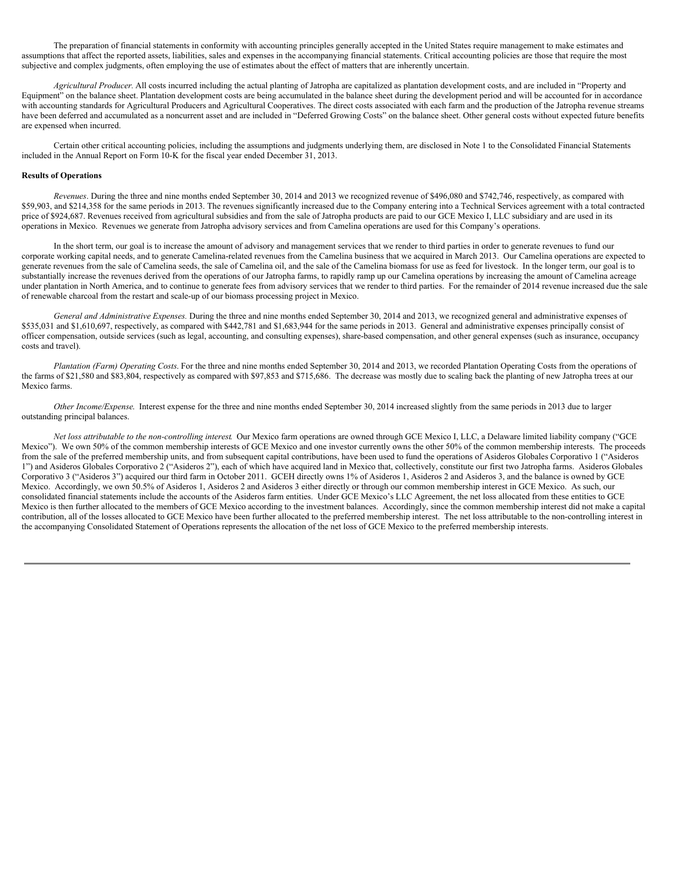The preparation of financial statements in conformity with accounting principles generally accepted in the United States require management to make estimates and assumptions that affect the reported assets, liabilities, sales and expenses in the accompanying financial statements. Critical accounting policies are those that require the most subjective and complex judgments, often employing the use of estimates about the effect of matters that are inherently uncertain.

*Agricultural Producer.* All costs incurred including the actual planting of Jatropha are capitalized as plantation development costs, and are included in "Property and Equipment" on the balance sheet. Plantation development costs are being accumulated in the balance sheet during the development period and will be accounted for in accordance with accounting standards for Agricultural Producers and Agricultural Cooperatives. The direct costs associated with each farm and the production of the Jatropha revenue streams have been deferred and accumulated as a noncurrent asset and are included in "Deferred Growing Costs" on the balance sheet. Other general costs without expected future benefits are expensed when incurred.

Certain other critical accounting policies, including the assumptions and judgments underlying them, are disclosed in Note 1 to the Consolidated Financial Statements included in the Annual Report on Form 10-K for the fiscal year ended December 31, 2013.

#### **Results of Operations**

*Revenues*. During the three and nine months ended September 30, 2014 and 2013 we recognized revenue of \$496,080 and \$742,746, respectively, as compared with \$59,903, and \$214,358 for the same periods in 2013. The revenues significantly increased due to the Company entering into a Technical Services agreement with a total contracted price of \$924,687. Revenues received from agricultural subsidies and from the sale of Jatropha products are paid to our GCE Mexico I, LLC subsidiary and are used in its operations in Mexico. Revenues we generate from Jatropha advisory services and from Camelina operations are used for this Company's operations.

In the short term, our goal is to increase the amount of advisory and management services that we render to third parties in order to generate revenues to fund our corporate working capital needs, and to generate Camelina-related revenues from the Camelina business that we acquired in March 2013. Our Camelina operations are expected to generate revenues from the sale of Camelina seeds, the sale of Camelina oil, and the sale of the Camelina biomass for use as feed for livestock. In the longer term, our goal is to substantially increase the revenues derived from the operations of our Jatropha farms, to rapidly ramp up our Camelina operations by increasing the amount of Camelina acreage under plantation in North America, and to continue to generate fees from advisory services that we render to third parties. For the remainder of 2014 revenue increased due the sale of renewable charcoal from the restart and scale-up of our biomass processing project in Mexico.

*General and Administrative Expenses.* During the three and nine months ended September 30, 2014 and 2013, we recognized general and administrative expenses of \$535,031 and \$1,610,697, respectively, as compared with \$442,781 and \$1,683,944 for the same periods in 2013. General and administrative expenses principally consist of officer compensation, outside services (such as legal, accounting, and consulting expenses), share-based compensation, and other general expenses (such as insurance, occupancy costs and travel).

*Plantation (Farm) Operating Costs*. For the three and nine months ended September 30, 2014 and 2013, we recorded Plantation Operating Costs from the operations of the farms of \$21,580 and \$83,804, respectively as compared with \$97,853 and \$715,686. The decrease was mostly due to scaling back the planting of new Jatropha trees at our Mexico farms.

*Other Income/Expense*. Interest expense for the three and nine months ended September 30, 2014 increased slightly from the same periods in 2013 due to larger outstanding principal balances.

*Net loss attributable to the non-controlling interest*. Our Mexico farm operations are owned through GCE Mexico I, LLC, a Delaware limited liability company ("GCE Mexico"). We own 50% of the common membership interests of GCE Mexico and one investor currently owns the other 50% of the common membership interests. The proceeds from the sale of the preferred membership units, and from subsequent capital contributions, have been used to fund the operations of Asideros Globales Corporativo 1 ("Asideros") 1") and Asideros Globales Corporativo 2 ("Asideros 2"), each of which have acquired land in Mexico that, collectively, constitute our first two Jatropha farms. Asideros Globales Corporativo 3 ("Asideros 3") acquired our third farm in October 2011. GCEH directly owns 1% of Asideros 1, Asideros 2 and Asideros 3, and the balance is owned by GCE Mexico. Accordingly, we own 50.5% of Asideros 1, Asideros 2 and Asideros 3 either directly or through our common membership interest in GCE Mexico. As such, our consolidated financial statements include the accounts of the Asideros farm entities. Under GCE Mexico's LLC Agreement, the net loss allocated from these entities to GCE Mexico is then further allocated to the members of GCE Mexico according to the investment balances. Accordingly, since the common membership interest did not make a capital contribution, all of the losses allocated to GCE Mexico have been further allocated to the preferred membership interest. The net loss attributable to the non-controlling interest in the accompanying Consolidated Statement of Operations represents the allocation of the net loss of GCE Mexico to the preferred membership interests.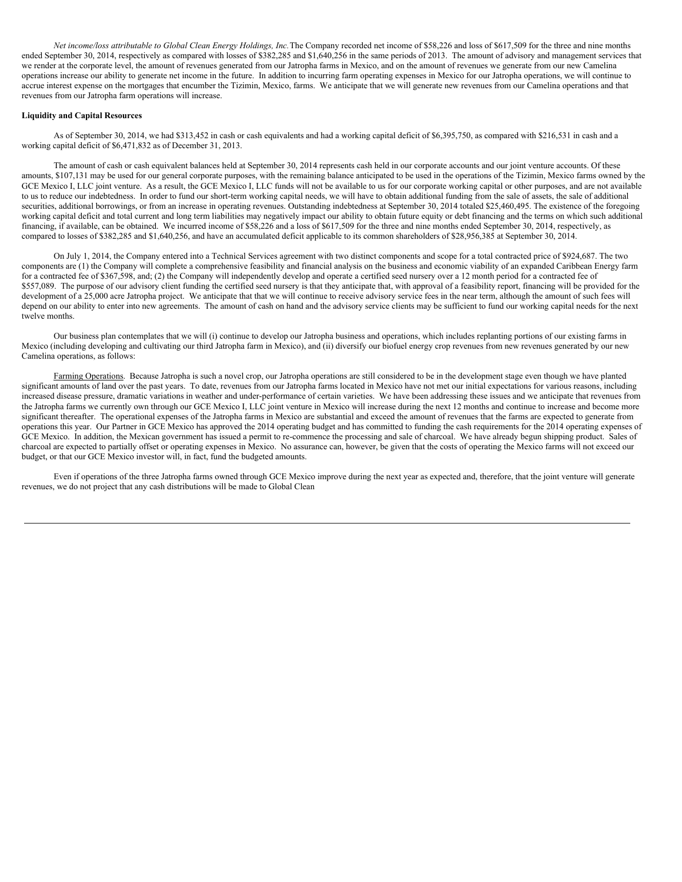*Net income/loss attributable to Global Clean Energy Holdings, Inc.*The Company recorded net income of \$58,226 and loss of \$617,509 for the three and nine months ended September 30, 2014, respectively as compared with losses of \$382,285 and \$1,640,256 in the same periods of 2013. The amount of advisory and management services that we render at the corporate level, the amount of revenues generated from our Jatropha farms in Mexico, and on the amount of revenues we generate from our new Camelina operations increase our ability to generate net income in the future. In addition to incurring farm operating expenses in Mexico for our Jatropha operations, we will continue to accrue interest expense on the mortgages that encumber the Tizimin, Mexico, farms. We anticipate that we will generate new revenues from our Camelina operations and that revenues from our Jatropha farm operations will increase.

### **Liquidity and Capital Resources**

As of September 30, 2014, we had \$313,452 in cash or cash equivalents and had a working capital deficit of \$6,395,750, as compared with \$216,531 in cash and a working capital deficit of \$6,471,832 as of December 31, 2013.

The amount of cash or cash equivalent balances held at September 30, 2014 represents cash held in our corporate accounts and our joint venture accounts. Of these amounts, \$107,131 may be used for our general corporate purposes, with the remaining balance anticipated to be used in the operations of the Tizimin, Mexico farms owned by the GCE Mexico I, LLC joint venture. As a result, the GCE Mexico I, LLC funds will not be available to us for our corporate working capital or other purposes, and are not available to us to reduce our indebtedness. In order to fund our short-term working capital needs, we will have to obtain additional funding from the sale of assets, the sale of additional securities, additional borrowings, or from an increase in operating revenues. Outstanding indebtedness at September 30, 2014 totaled \$25,460,495. The existence of the foregoing working capital deficit and total current and long term liabilities may negatively impact our ability to obtain future equity or debt financing and the terms on which such additional financing, if available, can be obtained. We incurred income of \$58,226 and a loss of \$617,509 for the three and nine months ended September 30, 2014, respectively, as compared to losses of \$382,285 and \$1,640,256, and have an accumulated deficit applicable to its common shareholders of \$28,956,385 at September 30, 2014.

On July 1, 2014, the Company entered into a Technical Services agreement with two distinct components and scope for a total contracted price of \$924,687. The two components are (1) the Company will complete a comprehensive feasibility and financial analysis on the business and economic viability of an expanded Caribbean Energy farm for a contracted fee of \$367,598, and; (2) the Company will independently develop and operate a certified seed nursery over a 12 month period for a contracted fee of \$557,089. The purpose of our advisory client funding the certified seed nursery is that they anticipate that, with approval of a feasibility report, financing will be provided for the development of a 25,000 acre Jatropha project. We anticipate that that we will continue to receive advisory service fees in the near term, although the amount of such fees will depend on our ability to enter into new agreements. The amount of cash on hand and the advisory service clients may be sufficient to fund our working capital needs for the next twelve months.

Our business plan contemplates that we will (i) continue to develop our Jatropha business and operations, which includes replanting portions of our existing farms in Mexico (including developing and cultivating our third Jatropha farm in Mexico), and (ii) diversify our biofuel energy crop revenues from new revenues generated by our new Camelina operations, as follows:

Farming Operations. Because Jatropha is such a novel crop, our Jatropha operations are still considered to be in the development stage even though we have planted significant amounts of land over the past years. To date, revenues from our Jatropha farms located in Mexico have not met our initial expectations for various reasons, including increased disease pressure, dramatic variations in weather and under-performance of certain varieties. We have been addressing these issues and we anticipate that revenues from the Jatropha farms we currently own through our GCE Mexico I, LLC joint venture in Mexico will increase during the next 12 months and continue to increase and become more significant thereafter. The operational expenses of the Jatropha farms in Mexico are substantial and exceed the amount of revenues that the farms are expected to generate from operations this year. Our Partner in GCE Mexico has approved the 2014 operating budget and has committed to funding the cash requirements for the 2014 operating expenses of GCE Mexico. In addition, the Mexican government has issued a permit to re-commence the processing and sale of charcoal. We have already begun shipping product. Sales of charcoal are expected to partially offset or operating expenses in Mexico. No assurance can, however, be given that the costs of operating the Mexico farms will not exceed our budget, or that our GCE Mexico investor will, in fact, fund the budgeted amounts.

Even if operations of the three Jatropha farms owned through GCE Mexico improve during the next year as expected and, therefore, that the joint venture will generate revenues, we do not project that any cash distributions will be made to Global Clean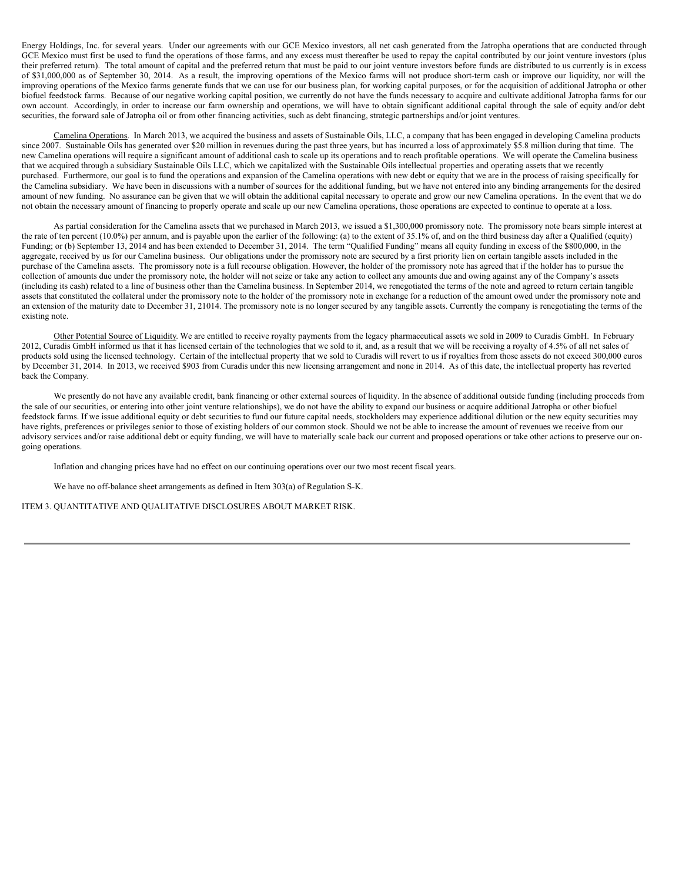Energy Holdings, Inc. for several years. Under our agreements with our GCE Mexico investors, all net cash generated from the Jatropha operations that are conducted through GCE Mexico must first be used to fund the operations of those farms, and any excess must thereafter be used to repay the capital contributed by our joint venture investors (plus their preferred return). The total amount of capital and the preferred return that must be paid to our joint venture investors before funds are distributed to us currently is in excess of \$31,000,000 as of September 30, 2014. As a result, the improving operations of the Mexico farms will not produce short-term cash or improve our liquidity, nor will the improving operations of the Mexico farms generate funds that we can use for our business plan, for working capital purposes, or for the acquisition of additional Jatropha or other biofuel feedstock farms. Because of our negative working capital position, we currently do not have the funds necessary to acquire and cultivate additional Jatropha farms for our own account. Accordingly, in order to increase our farm ownership and operations, we will have to obtain significant additional capital through the sale of equity and/or debt securities, the forward sale of Jatropha oil or from other financing activities, such as debt financing, strategic partnerships and/or joint ventures.

Camelina Operations. In March 2013, we acquired the business and assets of Sustainable Oils, LLC, a company that has been engaged in developing Camelina products since 2007. Sustainable Oils has generated over \$20 million in revenues during the past three years, but has incurred a loss of approximately \$5.8 million during that time. The new Camelina operations will require a significant amount of additional cash to scale up its operations and to reach profitable operations. We will operate the Camelina business that we acquired through a subsidiary Sustainable Oils LLC, which we capitalized with the Sustainable Oils intellectual properties and operating assets that we recently purchased. Furthermore, our goal is to fund the operations and expansion of the Camelina operations with new debt or equity that we are in the process of raising specifically for the Camelina subsidiary. We have been in discussions with a number of sources for the additional funding, but we have not entered into any binding arrangements for the desired amount of new funding. No assurance can be given that we will obtain the additional capital necessary to operate and grow our new Camelina operations. In the event that we do not obtain the necessary amount of financing to properly operate and scale up our new Camelina operations, those operations are expected to continue to operate at a loss.

As partial consideration for the Camelina assets that we purchased in March 2013, we issued a \$1,300,000 promissory note. The promissory note bears simple interest at the rate of ten percent (10.0%) per annum, and is payable upon the earlier of the following: (a) to the extent of 35.1% of, and on the third business day after a Qualified (equity) Funding; or (b) September 13, 2014 and has been extended to December 31, 2014. The term "Qualified Funding" means all equity funding in excess of the \$800,000, in the aggregate, received by us for our Camelina business. Our obligations under the promissory note are secured by a first priority lien on certain tangible assets included in the purchase of the Camelina assets. The promissory note is a full recourse obligation. However, the holder of the promissory note has agreed that if the holder has to pursue the collection of amounts due under the promissory note, the holder will not seize or take any action to collect any amounts due and owing against any of the Company's assets (including its cash) related to a line of business other than the Camelina business. In September 2014, we renegotiated the terms of the note and agreed to return certain tangible assets that constituted the collateral under the promissory note to the holder of the promissory note in exchange for a reduction of the amount owed under the promissory note and an extension of the maturity date to December 31, 21014. The promissory note is no longer secured by any tangible assets. Currently the company is renegotiating the terms of the existing note.

Other Potential Source of Liquidity. We are entitled to receive royalty payments from the legacy pharmaceutical assets we sold in 2009 to Curadis GmbH. In February 2012, Curadis GmbH informed us that it has licensed certain of the technologies that we sold to it, and, as a result that we will be receiving a royalty of 4.5% of all net sales of products sold using the licensed technology. Certain of the intellectual property that we sold to Curadis will revert to us if royalties from those assets do not exceed 300,000 euros by December 31, 2014. In 2013, we received \$903 from Curadis under this new licensing arrangement and none in 2014. As of this date, the intellectual property has reverted back the Company.

We presently do not have any available credit, bank financing or other external sources of liquidity. In the absence of additional outside funding (including proceeds from the sale of our securities, or entering into other joint venture relationships), we do not have the ability to expand our business or acquire additional Jatropha or other biofuel feedstock farms. If we issue additional equity or debt securities to fund our future capital needs, stockholders may experience additional dilution or the new equity securities may have rights, preferences or privileges senior to those of existing holders of our common stock. Should we not be able to increase the amount of revenues we receive from our advisory services and/or raise additional debt or equity funding, we will have to materially scale back our current and proposed operations or take other actions to preserve our ongoing operations.

Inflation and changing prices have had no effect on our continuing operations over our two most recent fiscal years.

We have no off-balance sheet arrangements as defined in Item 303(a) of Regulation S-K.

ITEM 3. QUANTITATIVE AND QUALITATIVE DISCLOSURES ABOUT MARKET RISK.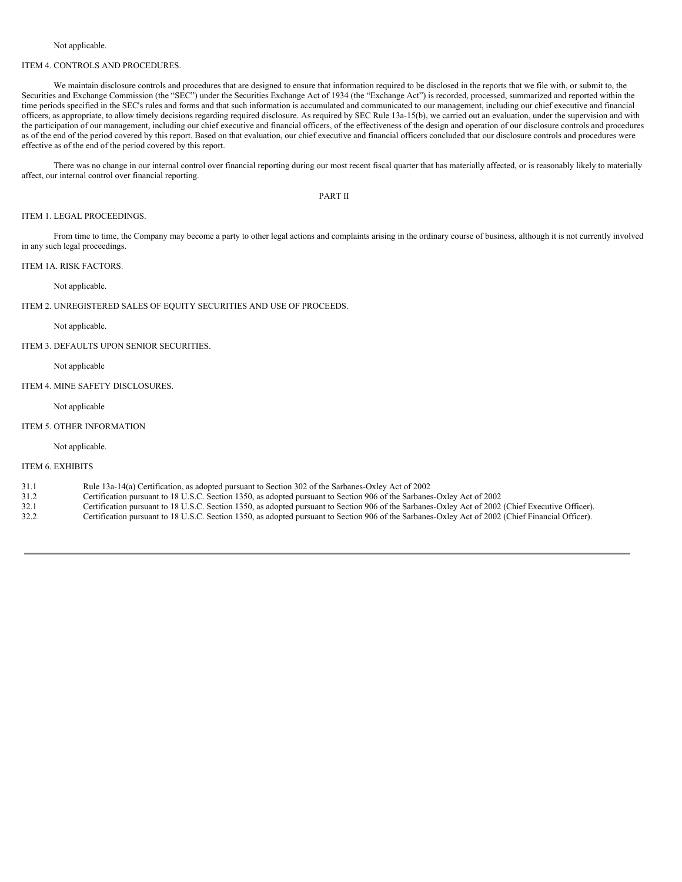#### Not applicable.

## ITEM 4. CONTROLS AND PROCEDURES.

We maintain disclosure controls and procedures that are designed to ensure that information required to be disclosed in the reports that we file with, or submit to, the Securities and Exchange Commission (the "SEC") under the Securities Exchange Act of 1934 (the "Exchange Act") is recorded, processed, summarized and reported within the time periods specified in the SEC's rules and forms and that such information is accumulated and communicated to our management, including our chief executive and financial officers, as appropriate, to allow timely decisions regarding required disclosure. As required by SEC Rule 13a-15(b), we carried out an evaluation, under the supervision and with the participation of our management, including our chief executive and financial officers, of the effectiveness of the design and operation of our disclosure controls and procedures as of the end of the period covered by this report. Based on that evaluation, our chief executive and financial officers concluded that our disclosure controls and procedures were effective as of the end of the period covered by this report.

There was no change in our internal control over financial reporting during our most recent fiscal quarter that has materially affected, or is reasonably likely to materially affect, our internal control over financial reporting.

# PART II

# ITEM 1. LEGAL PROCEEDINGS.

From time to time, the Company may become a party to other legal actions and complaints arising in the ordinary course of business, although it is not currently involved in any such legal proceedings.

#### ITEM 1A. RISK FACTORS.

Not applicable.

# ITEM 2. UNREGISTERED SALES OF EQUITY SECURITIES AND USE OF PROCEEDS.

#### Not applicable.

#### ITEM 3. DEFAULTS UPON SENIOR SECURITIES.

### Not applicable

# ITEM 4. MINE SAFETY DISCLOSURES.

## Not applicable

# ITEM 5. OTHER INFORMATION

Not applicable.

# ITEM 6. EXHIBITS

- 31.1 Rule 13a-14(a) Certification, as adopted pursuant to Section 302 of the Sarbanes-Oxley Act of 2002
- 31.2 Certification pursuant to 18 U.S.C. Section 1350, as adopted pursuant to Section 906 of the Sarbanes-Oxley Act of 2002<br>32.1 Certification pursuant to 18 U.S.C. Section 1350, as adopted pursuant to Section 906 of the S
- 32.1 Certification pursuant to 18 U.S.C. Section 1350, as adopted pursuant to Section 906 of the Sarbanes-Oxley Act of 2002 (Chief Executive Officer).<br>Certification pursuant to 18 U.S.C. Section 1350, as adopted pursuant t
- 32.2 Certification pursuant to 18 U.S.C. Section 1350, as adopted pursuant to Section 906 of the Sarbanes-Oxley Act of 2002 (Chief Financial Officer).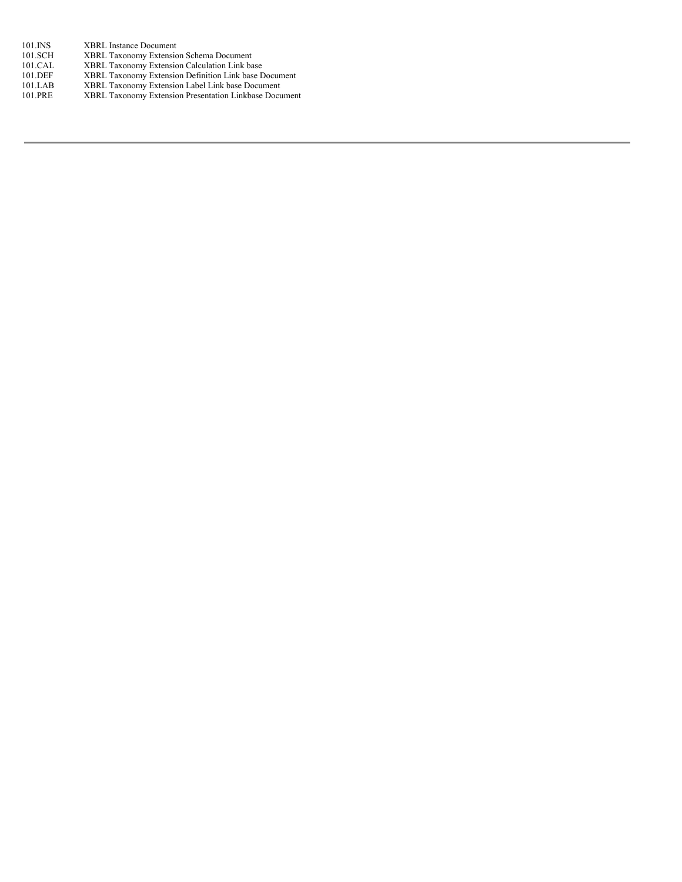- 101.INS XBRL Instance Document<br>101.SCH XBRL Taxonomy Extension
- 101.SCH XBRL Taxonomy Extension Schema Document<br>101.CAL XBRL Taxonomy Extension Calculation Link ba
- 101.CAL XBRL Taxonomy Extension Calculation Link base<br>101.DEF XBRL Taxonomy Extension Definition Link base D
- 101.DEF XBRL Taxonomy Extension Definition Link base Document 101.LAB XBRL Taxonomy Extension Label Link base Document
- 101.PRE XBRL Taxonomy Extension Presentation Linkbase Document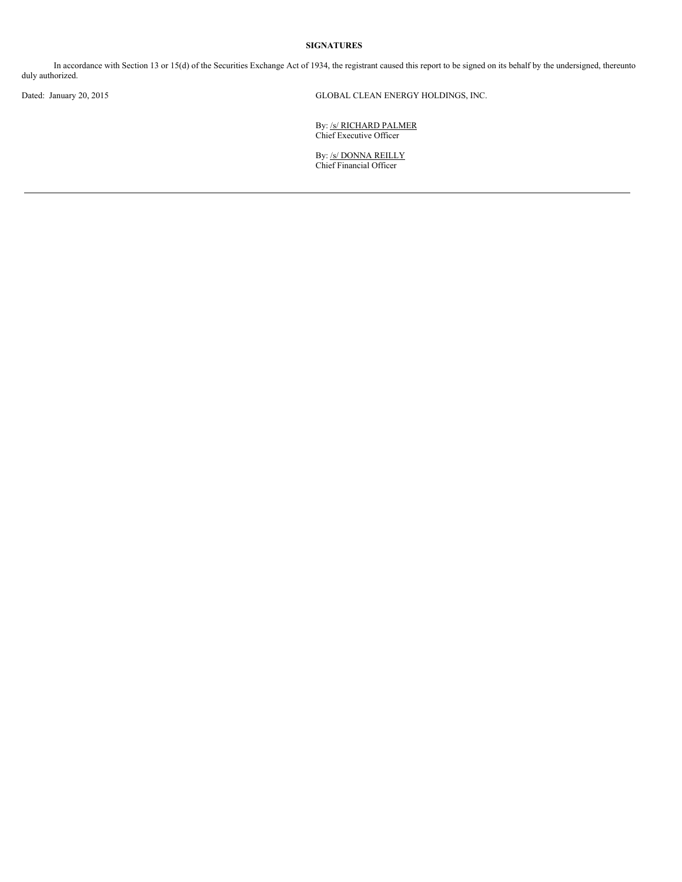# **SIGNATURES**

In accordance with Section 13 or 15(d) of the Securities Exchange Act of 1934, the registrant caused this report to be signed on its behalf by the undersigned, thereunto duly authorized.

Dated: January 20, 2015 GLOBAL CLEAN ENERGY HOLDINGS, INC.

By: /s/ RICHARD PALMER Chief Executive Officer

By: <u>/s/ DONNA REILLY</u> Chief Financial Officer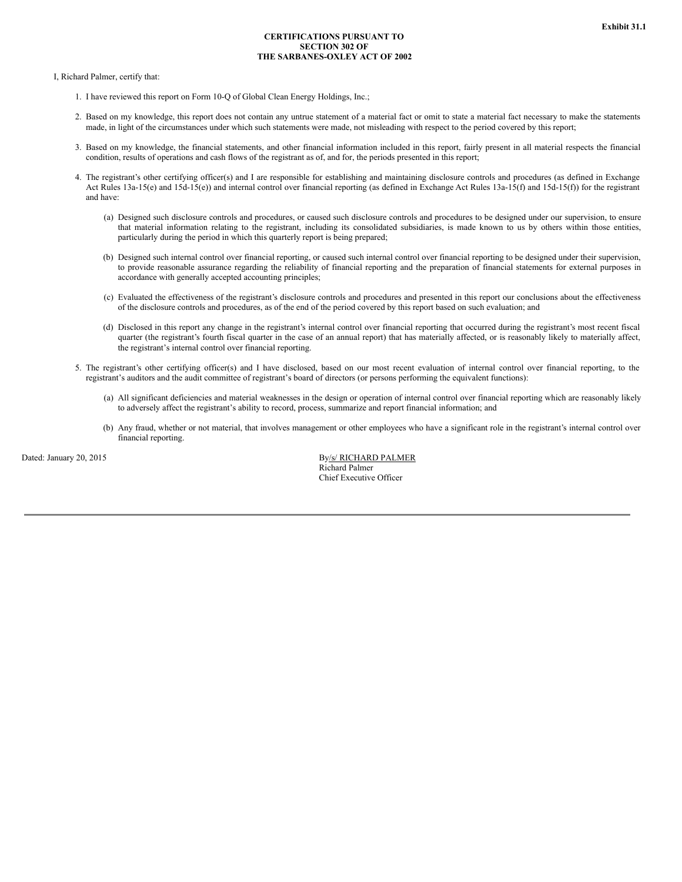# **CERTIFICATIONS PURSUANT TO SECTION 302 OF THE SARBANES-OXLEY ACT OF 2002**

I, Richard Palmer, certify that:

- 1. I have reviewed this report on Form 10-Q of Global Clean Energy Holdings, Inc.;
- 2. Based on my knowledge, this report does not contain any untrue statement of a material fact or omit to state a material fact necessary to make the statements made, in light of the circumstances under which such statements were made, not misleading with respect to the period covered by this report;
- 3. Based on my knowledge, the financial statements, and other financial information included in this report, fairly present in all material respects the financial condition, results of operations and cash flows of the registrant as of, and for, the periods presented in this report;
- 4. The registrant's other certifying officer(s) and I are responsible for establishing and maintaining disclosure controls and procedures (as defined in Exchange Act Rules 13a-15(e) and 15d-15(e)) and internal control over financial reporting (as defined in Exchange Act Rules 13a-15(f) and 15d-15(f)) for the registrant and have:
	- (a) Designed such disclosure controls and procedures, or caused such disclosure controls and procedures to be designed under our supervision, to ensure that material information relating to the registrant, including its consolidated subsidiaries, is made known to us by others within those entities, particularly during the period in which this quarterly report is being prepared;
	- (b) Designed such internal control over financial reporting, or caused such internal control over financial reporting to be designed under their supervision, to provide reasonable assurance regarding the reliability of financial reporting and the preparation of financial statements for external purposes in accordance with generally accepted accounting principles;
	- (c) Evaluated the effectiveness of the registrant's disclosure controls and procedures and presented in this report our conclusions about the effectiveness of the disclosure controls and procedures, as of the end of the period covered by this report based on such evaluation; and
	- (d) Disclosed in this report any change in the registrant's internal control over financial reporting that occurred during the registrant's most recent fiscal quarter (the registrant's fourth fiscal quarter in the case of an annual report) that has materially affected, or is reasonably likely to materially affect, the registrant's internal control over financial reporting.
- 5. The registrant's other certifying officer(s) and I have disclosed, based on our most recent evaluation of internal control over financial reporting, to the registrant's auditors and the audit committee of registrant's board of directors (or persons performing the equivalent functions):
	- (a) All significant deficiencies and material weaknesses in the design or operation of internal control over financial reporting which are reasonably likely to adversely affect the registrant's ability to record, process, summarize and report financial information; and
	- (b) Any fraud, whether or not material, that involves management or other employees who have a significant role in the registrant's internal control over financial reporting.

Dated: January 20, 2015 **By/s/ RICHARD PALMER** Richard Palmer Chief Executive Officer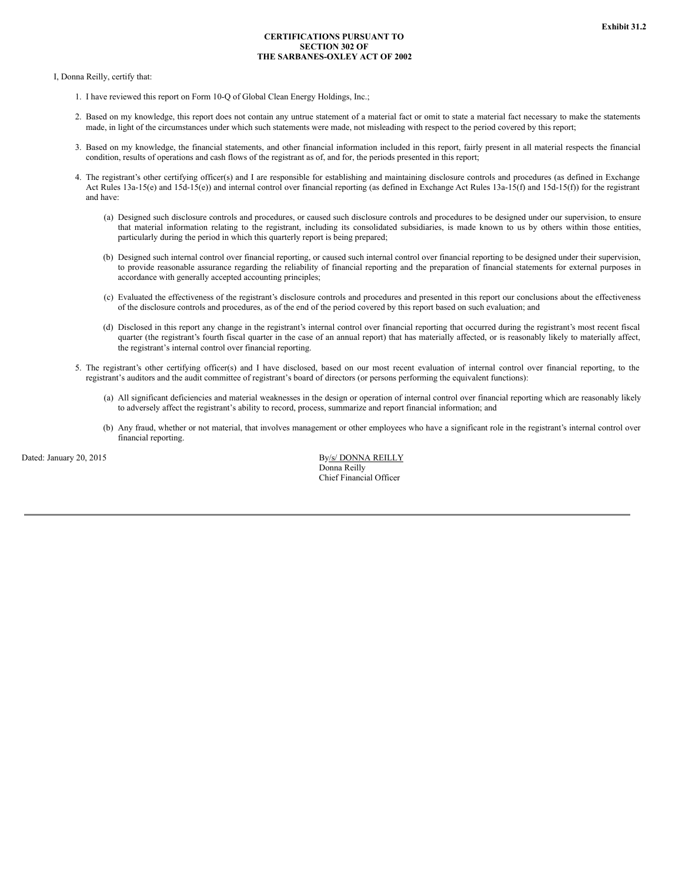# **CERTIFICATIONS PURSUANT TO SECTION 302 OF THE SARBANES-OXLEY ACT OF 2002**

I, Donna Reilly, certify that:

- 1. I have reviewed this report on Form 10-Q of Global Clean Energy Holdings, Inc.;
- 2. Based on my knowledge, this report does not contain any untrue statement of a material fact or omit to state a material fact necessary to make the statements made, in light of the circumstances under which such statements were made, not misleading with respect to the period covered by this report;
- 3. Based on my knowledge, the financial statements, and other financial information included in this report, fairly present in all material respects the financial condition, results of operations and cash flows of the registrant as of, and for, the periods presented in this report;
- 4. The registrant's other certifying officer(s) and I are responsible for establishing and maintaining disclosure controls and procedures (as defined in Exchange Act Rules 13a-15(e) and 15d-15(e)) and internal control over financial reporting (as defined in Exchange Act Rules 13a-15(f) and 15d-15(f)) for the registrant and have:
	- (a) Designed such disclosure controls and procedures, or caused such disclosure controls and procedures to be designed under our supervision, to ensure that material information relating to the registrant, including its consolidated subsidiaries, is made known to us by others within those entities, particularly during the period in which this quarterly report is being prepared;
	- (b) Designed such internal control over financial reporting, or caused such internal control over financial reporting to be designed under their supervision, to provide reasonable assurance regarding the reliability of financial reporting and the preparation of financial statements for external purposes in accordance with generally accepted accounting principles;
	- (c) Evaluated the effectiveness of the registrant's disclosure controls and procedures and presented in this report our conclusions about the effectiveness of the disclosure controls and procedures, as of the end of the period covered by this report based on such evaluation; and
	- (d) Disclosed in this report any change in the registrant's internal control over financial reporting that occurred during the registrant's most recent fiscal quarter (the registrant's fourth fiscal quarter in the case of an annual report) that has materially affected, or is reasonably likely to materially affect, the registrant's internal control over financial reporting.
- 5. The registrant's other certifying officer(s) and I have disclosed, based on our most recent evaluation of internal control over financial reporting, to the registrant's auditors and the audit committee of registrant's board of directors (or persons performing the equivalent functions):
	- (a) All significant deficiencies and material weaknesses in the design or operation of internal control over financial reporting which are reasonably likely to adversely affect the registrant's ability to record, process, summarize and report financial information; and
	- (b) Any fraud, whether or not material, that involves management or other employees who have a significant role in the registrant's internal control over financial reporting.

Dated: January 20, 2015 By/s/ DONNA REILLY Donna Reilly Chief Financial Officer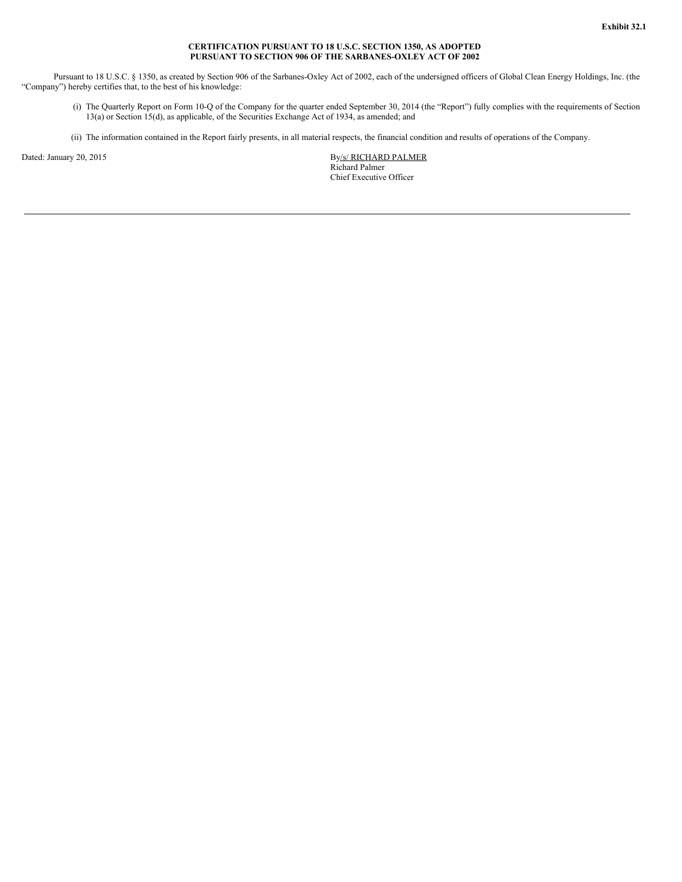### **CERTIFICATION PURSUANT TO 18 U.S.C. SECTION 1350, AS ADOPTED PURSUANT TO SECTION 906 OF THE SARBANES-OXLEY ACT OF 2002**

Pursuant to 18 U.S.C. § 1350, as created by Section 906 of the Sarbanes-Oxley Act of 2002, each of the undersigned officers of Global Clean Energy Holdings, Inc. (the "Company") hereby certifies that, to the best of his knowledge:

- (i) The Quarterly Report on Form 10-Q of the Company for the quarter ended September 30, 2014 (the "Report") fully complies with the requirements of Section 13(a) or Section 15(d), as applicable, of the Securities Exchange Act of 1934, as amended; and
- (ii) The information contained in the Report fairly presents, in all material respects, the financial condition and results of operations of the Company.

Dated: January 20, 2015 By/s/ RICHARD PALMER Richard Palmer Chief Executive Officer